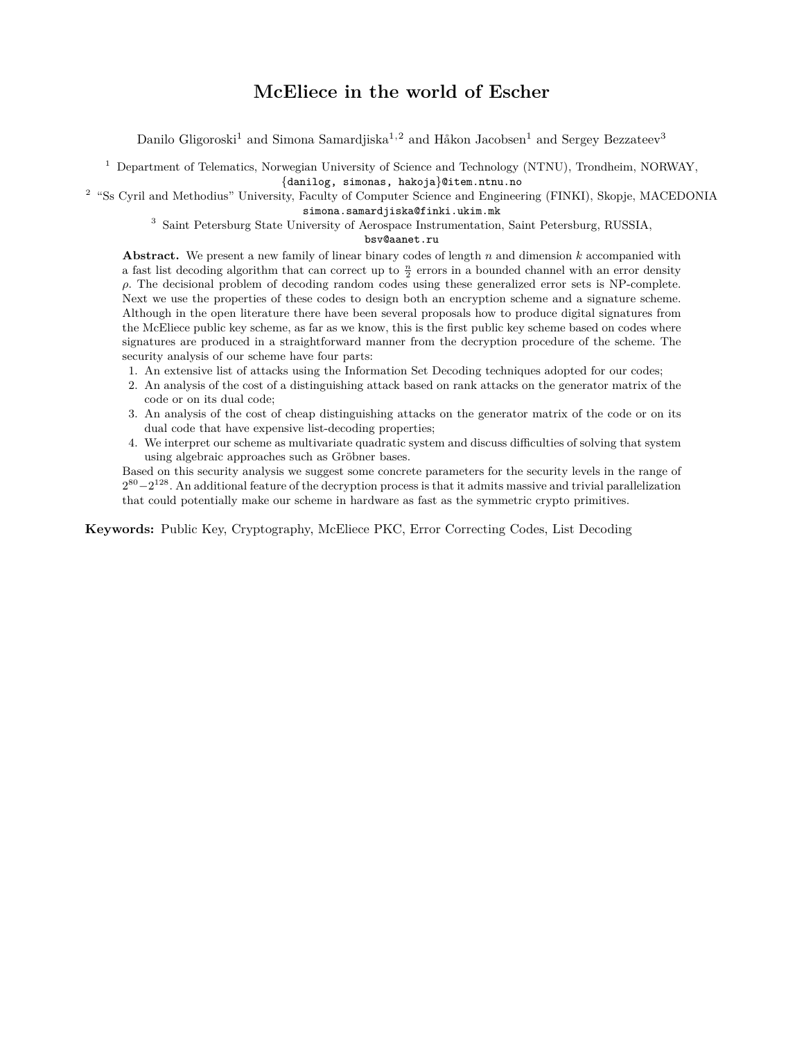## **McEliece in the world of Escher**

Danilo Gligoroski<sup>1</sup> and Simona Samardjiska<sup>1,2</sup> and Håkon Jacobsen<sup>1</sup> and Sergey Bezzateev<sup>3</sup>

<sup>1</sup> Department of Telematics, Norwegian University of Science and Technology (NTNU), Trondheim, NORWAY,

{danilog, simonas, hakoja}@item.ntnu.no

<sup>2</sup> "Ss Cyril and Methodius" University, Faculty of Computer Science and Engineering (FINKI), Skopje, MACEDONIA

simona.samardjiska@finki.ukim.mk

<sup>3</sup> Saint Petersburg State University of Aerospace Instrumentation, Saint Petersburg, RUSSIA,

bsv@aanet.ru

**Abstract.** We present a new family of linear binary codes of length *n* and dimension *k* accompanied with a fast list decoding algorithm that can correct up to  $\frac{n}{2}$  errors in a bounded channel with an error density *ρ*. The decisional problem of decoding random codes using these generalized error sets is NP-complete. Next we use the properties of these codes to design both an encryption scheme and a signature scheme. Although in the open literature there have been several proposals how to produce digital signatures from the McEliece public key scheme, as far as we know, this is the first public key scheme based on codes where signatures are produced in a straightforward manner from the decryption procedure of the scheme. The security analysis of our scheme have four parts:

- 1. An extensive list of attacks using the Information Set Decoding techniques adopted for our codes;
- 2. An analysis of the cost of a distinguishing attack based on rank attacks on the generator matrix of the code or on its dual code;
- 3. An analysis of the cost of cheap distinguishing attacks on the generator matrix of the code or on its dual code that have expensive list-decoding properties;
- 4. We interpret our scheme as multivariate quadratic system and discuss difficulties of solving that system using algebraic approaches such as Gröbner bases.

Based on this security analysis we suggest some concrete parameters for the security levels in the range of  $2^{80}-2^{128}$ . An additional feature of the decryption process is that it admits massive and trivial parallelization that could potentially make our scheme in hardware as fast as the symmetric crypto primitives.

**Keywords:** Public Key, Cryptography, McEliece PKC, Error Correcting Codes, List Decoding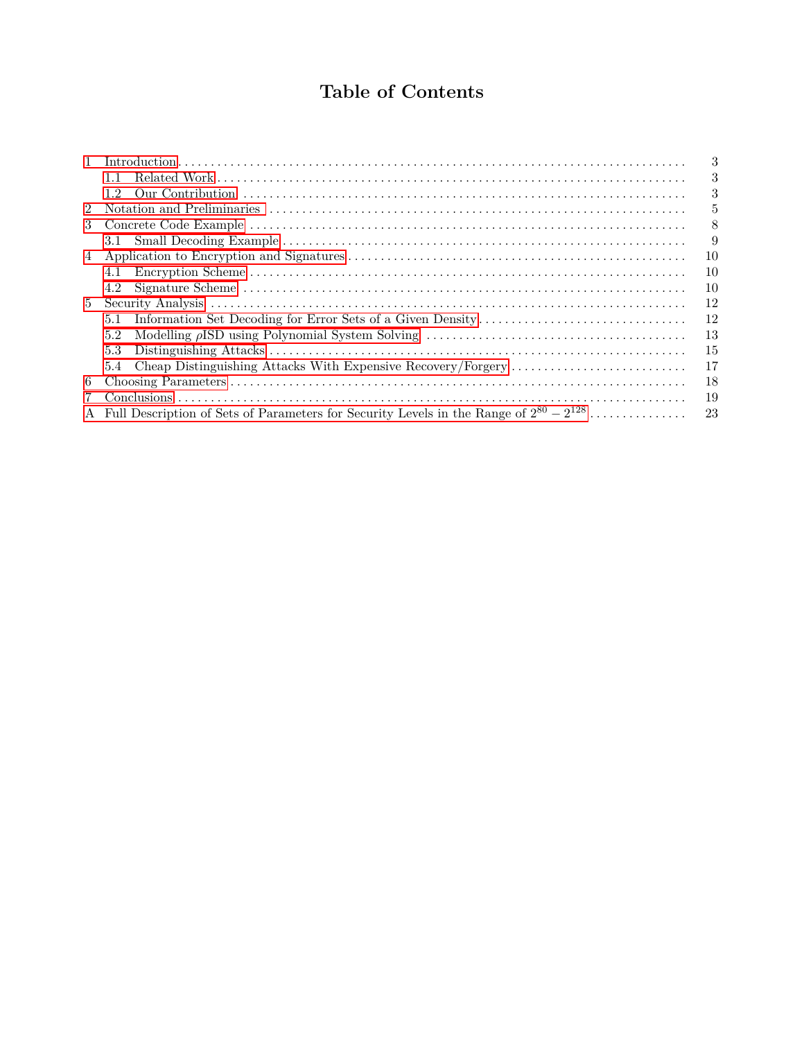# **Table of Contents**

|   |                                                                                                 | 3   |
|---|-------------------------------------------------------------------------------------------------|-----|
|   | 1.1                                                                                             | 3   |
|   | 12                                                                                              | 3   |
|   |                                                                                                 | 5   |
|   |                                                                                                 | 8   |
|   |                                                                                                 | 9   |
|   |                                                                                                 | -10 |
|   | 4.1                                                                                             | 10  |
|   | 4.2                                                                                             | -10 |
|   |                                                                                                 | 12  |
|   | 5.1                                                                                             | 12  |
|   | 5.2                                                                                             | -13 |
|   | 5.3                                                                                             | 15  |
|   | 5.4                                                                                             | -17 |
| 6 |                                                                                                 | 18  |
|   |                                                                                                 | 19  |
|   | A Full Description of Sets of Parameters for Security Levels in the Range of $2^{80} - 2^{128}$ | 23  |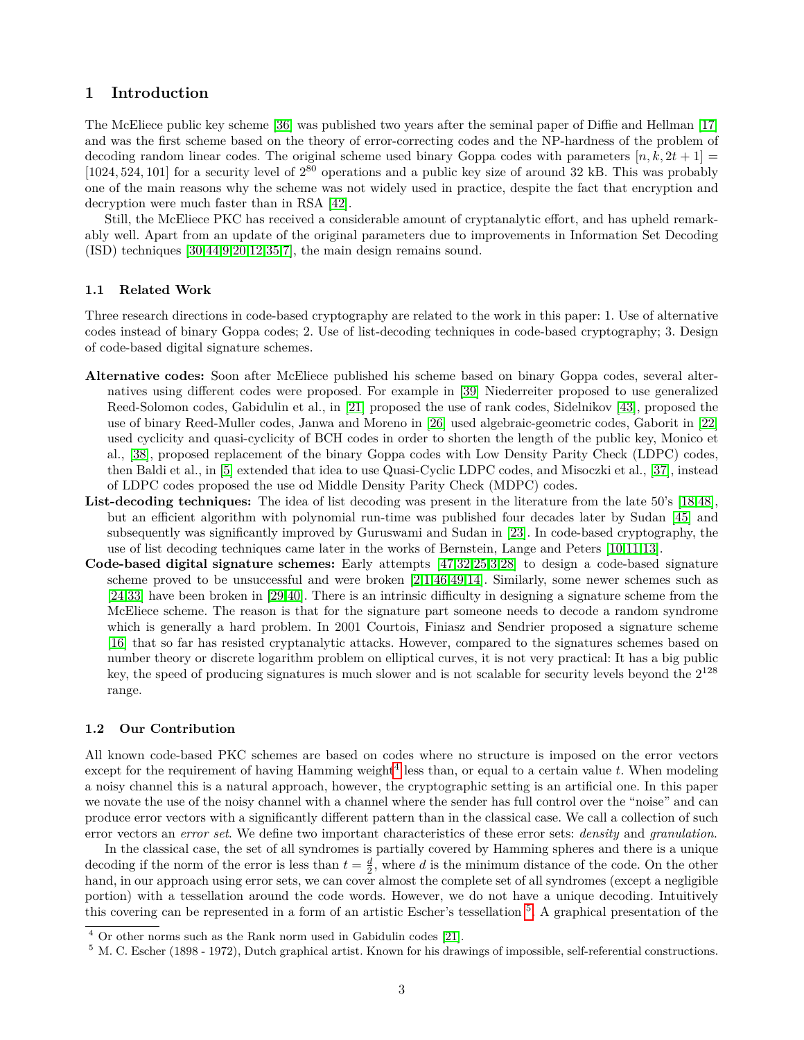## <span id="page-2-5"></span><span id="page-2-0"></span>**1 Introduction**

The McEliece public key scheme [\[36\]](#page-20-0) was published two years after the seminal paper of Diffie and Hellman [\[17\]](#page-19-0) and was the first scheme based on the theory of error-correcting codes and the NP-hardness of the problem of decoding random linear codes. The original scheme used binary Goppa codes with parameters  $[n, k, 2t + 1] =$ [1024*,* 524*,* 101] for a security level of 2<sup>80</sup> operations and a public key size of around 32 kB. This was probably one of the main reasons why the scheme was not widely used in practice, despite the fact that encryption and decryption were much faster than in RSA [\[42\]](#page-20-1).

Still, the McEliece PKC has received a considerable amount of cryptanalytic effort, and has upheld remarkably well. Apart from an update of the original parameters due to improvements in Information Set Decoding (ISD) techniques [\[30,](#page-20-2)[44,](#page-21-0)[9,](#page-19-1)[20](#page-20-3)[,12,](#page-19-2)[35,](#page-20-4)[7\]](#page-19-3), the main design remains sound.

#### <span id="page-2-1"></span>**1.1 Related Work**

Three research directions in code-based cryptography are related to the work in this paper: 1. Use of alternative codes instead of binary Goppa codes; 2. Use of list-decoding techniques in code-based cryptography; 3. Design of code-based digital signature schemes.

- **Alternative codes:** Soon after McEliece published his scheme based on binary Goppa codes, several alternatives using different codes were proposed. For example in [\[39\]](#page-20-5) Niederreiter proposed to use generalized Reed-Solomon codes, Gabidulin et al., in [\[21\]](#page-20-6) proposed the use of rank codes, Sidelnikov [\[43\]](#page-21-1), proposed the use of binary Reed-Muller codes, Janwa and Moreno in [\[26\]](#page-20-7) used algebraic-geometric codes, Gaborit in [\[22\]](#page-20-8) used cyclicity and quasi-cyclicity of BCH codes in order to shorten the length of the public key, Monico et al., [\[38\]](#page-20-9), proposed replacement of the binary Goppa codes with Low Density Parity Check (LDPC) codes, then Baldi et al., in [\[5\]](#page-19-4) extended that idea to use Quasi-Cyclic LDPC codes, and Misoczki et al., [\[37\]](#page-20-10), instead of LDPC codes proposed the use od Middle Density Parity Check (MDPC) codes.
- **List-decoding techniques:** The idea of list decoding was present in the literature from the late 50's [\[18,](#page-20-11)[48\]](#page-21-2), but an efficient algorithm with polynomial run-time was published four decades later by Sudan [\[45\]](#page-21-3) and subsequently was significantly improved by Guruswami and Sudan in [\[23\]](#page-20-12). In code-based cryptography, the use of list decoding techniques came later in the works of Bernstein, Lange and Peters [\[10,](#page-19-5)[11,](#page-19-6)[13\]](#page-19-7).
- **Code-based digital signature schemes:** Early attempts [\[47](#page-21-4)[,32,](#page-20-13)[25,](#page-20-14)[3,](#page-19-8)[28\]](#page-20-15) to design a code-based signature scheme proved to be unsuccessful and were broken [\[2,](#page-19-9)[1,](#page-19-10)[46](#page-21-5)[,49,](#page-21-6)[14\]](#page-19-11). Similarly, some newer schemes such as [\[24](#page-20-16)[,33\]](#page-20-17) have been broken in [\[29,](#page-20-18)[40\]](#page-20-19). There is an intrinsic difficulty in designing a signature scheme from the McEliece scheme. The reason is that for the signature part someone needs to decode a random syndrome which is generally a hard problem. In 2001 Courtois, Finiasz and Sendrier proposed a signature scheme [\[16\]](#page-19-12) that so far has resisted cryptanalytic attacks. However, compared to the signatures schemes based on number theory or discrete logarithm problem on elliptical curves, it is not very practical: It has a big public key, the speed of producing signatures is much slower and is not scalable for security levels beyond the  $2^{128}$ range.

### <span id="page-2-2"></span>**1.2 Our Contribution**

All known code-based PKC schemes are based on codes where no structure is imposed on the error vectors  $\alpha$  except for the requirement of having Hamming weight<sup>[4](#page-2-3)</sup> less than, or equal to a certain value t. When modeling a noisy channel this is a natural approach, however, the cryptographic setting is an artificial one. In this paper we novate the use of the noisy channel with a channel where the sender has full control over the "noise" and can produce error vectors with a significantly different pattern than in the classical case. We call a collection of such error vectors an *error set*. We define two important characteristics of these error sets: *density* and *granulation*.

In the classical case, the set of all syndromes is partially covered by Hamming spheres and there is a unique decoding if the norm of the error is less than  $t = \frac{d}{2}$ , where *d* is the minimum distance of the code. On the other hand, in our approach using error sets, we can cover almost the complete set of all syndromes (except a negligible portion) with a tessellation around the code words. However, we do not have a unique decoding. Intuitively this covering can be represented in a form of an artistic Escher's tessellation <sup>[5](#page-2-4)</sup>. A graphical presentation of the

<span id="page-2-3"></span> $\frac{4}{4}$  Or other norms such as the Rank norm used in Gabidulin codes [\[21\]](#page-20-6).

<span id="page-2-4"></span><sup>5</sup> M. C. Escher (1898 - 1972), Dutch graphical artist. Known for his drawings of impossible, self-referential constructions.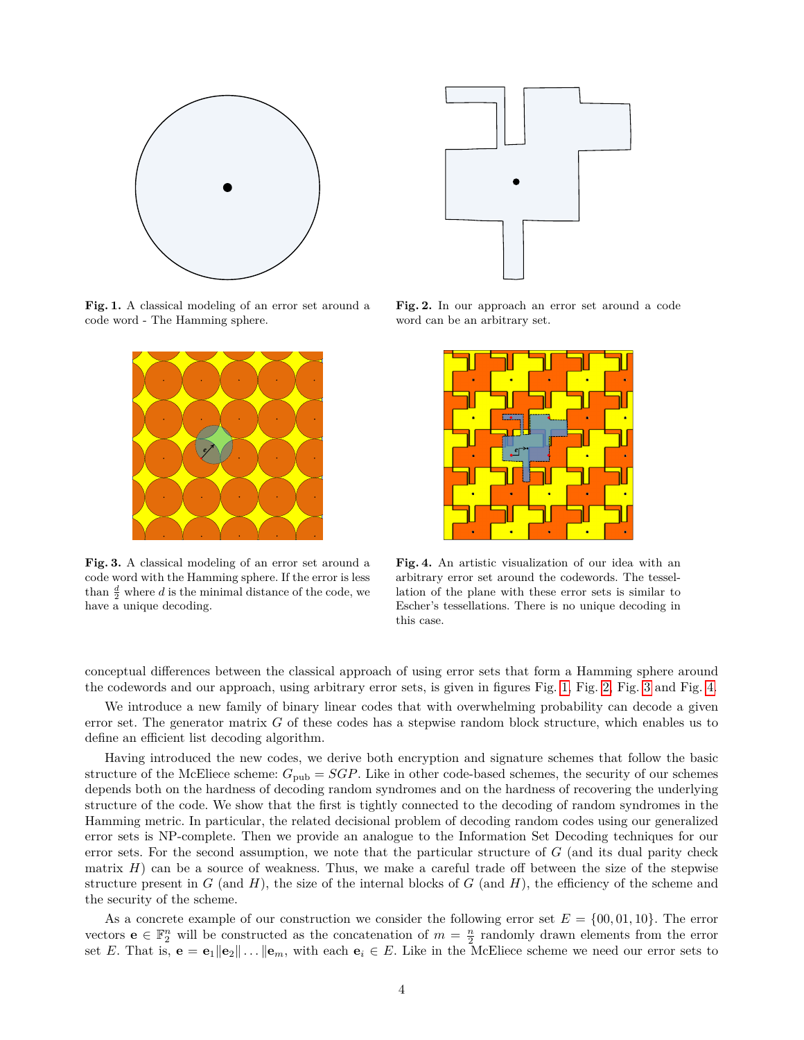

<span id="page-3-0"></span>**Fig. 1.** A classical modeling of an error set around a code word - The Hamming sphere.



<span id="page-3-2"></span>**Fig. 3.** A classical modeling of an error set around a code word with the Hamming sphere. If the error is less than  $\frac{d}{2}$  where *d* is the minimal distance of the code, we have a unique decoding.



<span id="page-3-1"></span>**Fig. 2.** In our approach an error set around a code word can be an arbitrary set.



<span id="page-3-3"></span>**Fig. 4.** An artistic visualization of our idea with an arbitrary error set around the codewords. The tessellation of the plane with these error sets is similar to Escher's tessellations. There is no unique decoding in this case.

conceptual differences between the classical approach of using error sets that form a Hamming sphere around the codewords and our approach, using arbitrary error sets, is given in figures Fig. [1,](#page-3-0) Fig. [2,](#page-3-1) Fig. [3](#page-3-2) and Fig. [4.](#page-3-3)

We introduce a new family of binary linear codes that with overwhelming probability can decode a given error set. The generator matrix *G* of these codes has a stepwise random block structure, which enables us to define an efficient list decoding algorithm.

Having introduced the new codes, we derive both encryption and signature schemes that follow the basic structure of the McEliece scheme:  $G_{\text{pub}} = SGP$ . Like in other code-based schemes, the security of our schemes depends both on the hardness of decoding random syndromes and on the hardness of recovering the underlying structure of the code. We show that the first is tightly connected to the decoding of random syndromes in the Hamming metric. In particular, the related decisional problem of decoding random codes using our generalized error sets is NP-complete. Then we provide an analogue to the Information Set Decoding techniques for our error sets. For the second assumption, we note that the particular structure of *G* (and its dual parity check matrix *H*) can be a source of weakness. Thus, we make a careful trade off between the size of the stepwise structure present in  $G$  (and  $H$ ), the size of the internal blocks of  $G$  (and  $H$ ), the efficiency of the scheme and the security of the scheme.

As a concrete example of our construction we consider the following error set  $E = \{00, 01, 10\}$ . The error vectors **e**  $\in \mathbb{F}_2^n$  will be constructed as the concatenation of  $m = \frac{n}{2}$  randomly drawn elements from the error set E. That is,  $e = e_1 ||e_2 || \dots ||e_m$ , with each  $e_i \in E$ . Like in the McEliece scheme we need our error sets to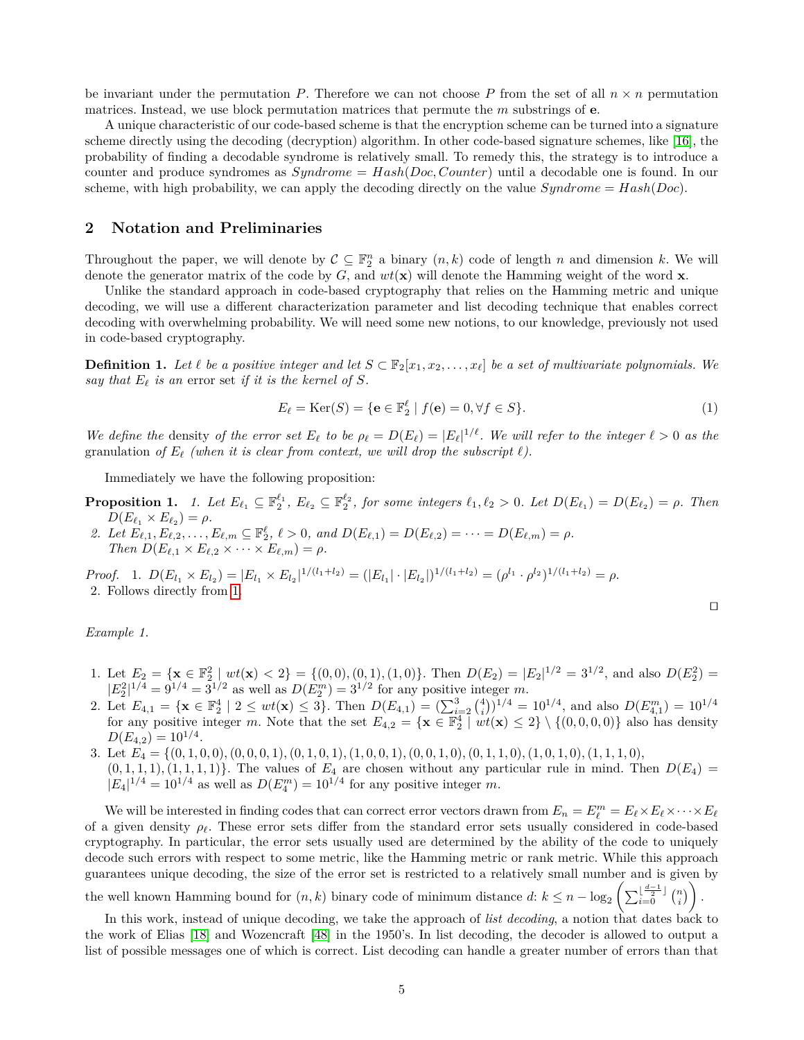<span id="page-4-3"></span>be invariant under the permutation *P*. Therefore we can not choose *P* from the set of all  $n \times n$  permutation matrices. Instead, we use block permutation matrices that permute the *m* substrings of **e**.

A unique characteristic of our code-based scheme is that the encryption scheme can be turned into a signature scheme directly using the decoding (decryption) algorithm. In other code-based signature schemes, like [\[16\]](#page-19-12), the probability of finding a decodable syndrome is relatively small. To remedy this, the strategy is to introduce a counter and produce syndromes as *Syndrome* = *Hash*(*Doc, Counter*) until a decodable one is found. In our scheme, with high probability, we can apply the decoding directly on the value  $Syndrome = Hash(Doc)$ .

## <span id="page-4-0"></span>**2 Notation and Preliminaries**

Throughout the paper, we will denote by  $\mathcal{C} \subseteq \mathbb{F}_2^n$  a binary  $(n, k)$  code of length *n* and dimension *k*. We will denote the generator matrix of the code by *G*, and *wt*(**x**) will denote the Hamming weight of the word **x**.

Unlike the standard approach in code-based cryptography that relies on the Hamming metric and unique decoding, we will use a different characterization parameter and list decoding technique that enables correct decoding with overwhelming probability. We will need some new notions, to our knowledge, previously not used in code-based cryptography.

<span id="page-4-2"></span>**Definition 1.** Let  $\ell$  be a positive integer and let  $S \subset \mathbb{F}_2[x_1, x_2, \ldots, x_\ell]$  be a set of multivariate polynomials. We *say that*  $E_{\ell}$  *is an* error set *if it is the kernel of*  $S$ *.* 

$$
E_{\ell} = \text{Ker}(S) = \{ \mathbf{e} \in \mathbb{F}_2^{\ell} \mid f(\mathbf{e}) = 0, \forall f \in S \}. \tag{1}
$$

*We define the* density *of the error set*  $E_\ell$  *to be*  $\rho_\ell = D(E_\ell) = |E_\ell|^{1/\ell}$ *. We will refer to the integer*  $\ell > 0$  *as the* granulation of  $E_\ell$  (when it is clear from context, we will drop the subscript  $\ell$ ).

Immediately we have the following proposition:

**Proposition 1.** 1. Let  $E_{\ell_1} \subseteq \mathbb{F}_2^{\ell_1}$ ,  $E_{\ell_2} \subseteq \mathbb{F}_2^{\ell_2}$ , for some integers  $\ell_1, \ell_2 > 0$ . Let  $D(E_{\ell_1}) = D(E_{\ell_2}) = \rho$ . Then  $D(E_{\ell_1} \times E_{\ell_2}) = \rho.$ 

2. Let  $E_{\ell,1}, E_{\ell,2}, \ldots, E_{\ell,m} \subseteq \mathbb{F}_2^{\ell}, \ell > 0$ , and  $D(E_{\ell,1}) = D(E_{\ell,2}) = \cdots = D(E_{\ell,m}) = \rho$ .  $Then D(E_{\ell,1} \times E_{\ell,2} \times \cdots \times E_{\ell,m}) = \rho.$ 

<span id="page-4-1"></span>*Proof.* 1.  $D(E_{l_1} \times E_{l_2}) = |E_{l_1} \times E_{l_2}|^{1/(l_1+l_2)} = (|E_{l_1}| \cdot |E_{l_2}|)^{1/(l_1+l_2)} = (\rho^{l_1} \cdot \rho^{l_2})^{1/(l_1+l_2)} = \rho$ . 2. Follows directly from [1.](#page-4-1)

*Example 1.*

- 1. Let  $E_2 = {\mathbf{x} \in \mathbb{F}_2^2 \mid wt(\mathbf{x}) < 2} = {(0,0), (0,1), (1,0)}$ . Then  $D(E_2) = |E_2|^{1/2} = 3^{1/2}$ , and also  $D(E_2^2) =$  $|E_2^2|^{1/4} = 9^{1/4} = 3^{1/2}$  as well as  $D(E_2^m) = 3^{1/2}$  for any positive integer *m*.
- 2. Let  $E_{4,1} = \{ \mathbf{x} \in \mathbb{F}_2^4 \mid 2 \le wt(\mathbf{x}) \le 3 \}$ . Then  $D(E_{4,1}) = \left( \sum_{i=2}^3 {4 \choose i} \right)^{1/4} = 10^{1/4}$ , and also  $D(E_{4,1}^m) = 10^{1/4}$ for any positive integer *m*. Note that the set  $E_{4,2} = \{ \mathbf{x} \in \mathbb{F}_2^4 \mid wt(\mathbf{x}) \leq 2 \} \setminus \{ (0,0,0,0) \}$  also has density  $D(E_{4,2}) = 10^{1/4}.$
- 3. Let  $E_4 = \{(0,1,0,0), (0,0,0,1), (0,1,0,1), (1,0,0,1), (0,0,1,0), (0,1,1,0), (1,0,1,0), (1,1,1,0),$  $(0,1,1,1), (1,1,1,1)$ . The values of  $E_4$  are chosen without any particular rule in mind. Then  $D(E_4)$  $|E_4|^{1/4} = 10^{1/4}$  as well as  $D(E_4^m) = 10^{1/4}$  for any positive integer *m*.

We will be interested in finding codes that can correct error vectors drawn from  $E_n = E_{\ell}^m = E_{\ell} \times E_{\ell} \times \cdots \times E_{\ell}$ of a given density  $\rho_\ell$ . These error sets differ from the standard error sets usually considered in code-based cryptography. In particular, the error sets usually used are determined by the ability of the code to uniquely decode such errors with respect to some metric, like the Hamming metric or rank metric. While this approach guarantees unique decoding, the size of the error set is restricted to a relatively small number and is given by

the well known Hamming bound for  $(n, k)$  binary code of minimum distance  $d: k \leq n - \log_2\left(\sum_{i=0}^{\lfloor\frac{d-1}{2}\rfloor} {n \choose i}\right)$ .

In this work, instead of unique decoding, we take the approach of *list decoding*, a notion that dates back to the work of Elias [\[18\]](#page-20-11) and Wozencraft [\[48\]](#page-21-2) in the 1950's. In list decoding, the decoder is allowed to output a list of possible messages one of which is correct. List decoding can handle a greater number of errors than that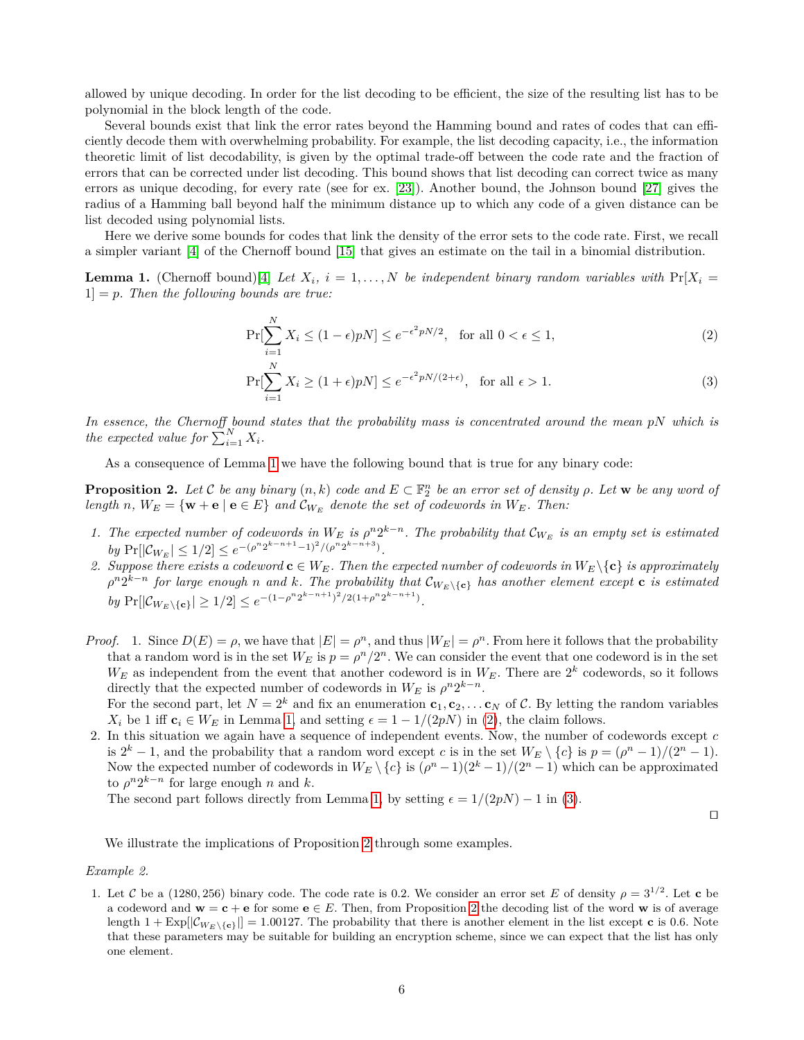<span id="page-5-3"></span>allowed by unique decoding. In order for the list decoding to be efficient, the size of the resulting list has to be polynomial in the block length of the code.

Several bounds exist that link the error rates beyond the Hamming bound and rates of codes that can efficiently decode them with overwhelming probability. For example, the list decoding capacity, i.e., the information theoretic limit of list decodability, is given by the optimal trade-off between the code rate and the fraction of errors that can be corrected under list decoding. This bound shows that list decoding can correct twice as many errors as unique decoding, for every rate (see for ex. [\[23\]](#page-20-12)). Another bound, the Johnson bound [\[27\]](#page-20-20) gives the radius of a Hamming ball beyond half the minimum distance up to which any code of a given distance can be list decoded using polynomial lists.

Here we derive some bounds for codes that link the density of the error sets to the code rate. First, we recall a simpler variant [\[4\]](#page-19-13) of the Chernoff bound [\[15\]](#page-19-14) that gives an estimate on the tail in a binomial distribution.

**Lemma 1.** (Chernoff bound)[\[4\]](#page-19-13) Let  $X_i$ ,  $i = 1, ..., N$  be independent binary random variables with  $Pr[X_i = 1, ..., N]$ 1] = *p. Then the following bounds are true:*

<span id="page-5-0"></span>
$$
\Pr[\sum_{i=1}^{N} X_i \le (1 - \epsilon)pN] \le e^{-\epsilon^2 pN/2}, \text{ for all } 0 < \epsilon \le 1,
$$
\n
$$
(2)
$$

$$
\Pr[\sum_{i=1}^{N} X_i \ge (1+\epsilon)pN] \le e^{-\epsilon^2 pN/(2+\epsilon)}, \text{ for all } \epsilon > 1.
$$
 (3)

*In essence, the Chernoff bound states that the probability mass is concentrated around the mean*  $pN$  *which is the expected value for*  $\sum_{i=1}^{N} X_i$ *.* 

As a consequence of Lemma [1](#page-5-0) we have the following bound that is true for any binary code:

**Proposition 2.** Let C be any binary  $(n, k)$  code and  $E \subset \mathbb{F}_2^n$  be an error set of density  $\rho$ . Let  $\bf{w}$  be any word of *length n*,  $W_E = \{ \mathbf{w} + \mathbf{e} \mid \mathbf{e} \in E \}$  *and*  $\mathcal{C}_{W_E}$  *denote the set of codewords in*  $W_E$ *. Then:* 

- *1.* The expected number of codewords in  $W_E$  is  $\rho^n 2^{k-n}$ . The probability that  $\mathcal{C}_{W_E}$  is an empty set is estimated  $by \Pr[|\mathcal{C}_{W_E}| \leq 1/2] \leq e^{-(\rho^n 2^{k-n+1}-1)^2/(\rho^n 2^{k-n+3})}.$
- <span id="page-5-1"></span>2. Suppose there exists a codeword  $c \in W_E$ . Then the expected number of codewords in  $W_E \setminus \{c\}$  is approximately  $\rho^{n}2^{k-n}$  *for large enough n and k. The probability that*  $C_{W_E \setminus {\bf c}}$  *has another element except* **c** *is estimated by*  $\Pr[|\mathcal{C}_{W_E \setminus \{c\}}| \geq 1/2] \leq e^{-(1-\rho^n 2^{k-n+1})^2/2(1+\rho^n 2^{k-n+1})}.$
- *Proof.* 1. Since  $D(E) = \rho$ , we have that  $|E| = \rho^n$ , and thus  $|W_E| = \rho^n$ . From here it follows that the probability that a random word is in the set  $W_E$  is  $p = \rho^n/2^n$ . We can consider the event that one codeword is in the set  $W_E$  as independent from the event that another codeword is in  $W_E$ . There are  $2^k$  codewords, so it follows directly that the expected number of codewords in  $W_E$  is  $\rho^n 2^{k-n}$ .

For the second part, let  $N = 2^k$  and fix an enumeration  $c_1, c_2, \ldots c_N$  of C. By letting the random variables  $X_i$  be 1 iff  $\mathbf{c}_i \in W_E$  in Lemma [1,](#page-5-0) and setting  $\epsilon = 1 - 1/(2pN)$  in [\(2\)](#page-5-0), the claim follows.

2. In this situation we again have a sequence of independent events. Now, the number of codewords except *c* is  $2^k - 1$ , and the probability that a random word except *c* is in the set  $W_E \setminus \{c\}$  is  $p = (p^n - 1)/(2^n - 1)$ . Now the expected number of codewords in  $W_E \setminus \{c\}$  is  $(\rho^n - 1)(2^k - 1)/(2^n - 1)$  which can be approximated to  $\rho^{n}2^{k-n}$  for large enough *n* and *k*.

The second part follows directly from Lemma [1,](#page-5-0) by setting  $\epsilon = 1/(2pN) - 1$  in [\(3\)](#page-5-0).

 $\Box$ 

We illustrate the implications of Proposition [2](#page-5-1) through some examples.

<span id="page-5-2"></span>*Example 2.*

1. Let C be a (1280, 256) binary code. The code rate is 0.2. We consider an error set E of density  $\rho = 3^{1/2}$ . Let c be a codeword and  $\mathbf{w} = \mathbf{c} + \mathbf{e}$  for some  $\mathbf{e} \in E$ . Then, from Proposition [2](#page-5-1) the decoding list of the word  $\mathbf{w}$  is of average length  $1 + \text{Exp}[\mathcal{C}_{W_E \setminus \{c\}}] = 1.00127$ . The probability that there is another element in the list except **c** is 0.6. Note that these parameters may be suitable for building an encryption scheme, since we can expect that the list has only one element.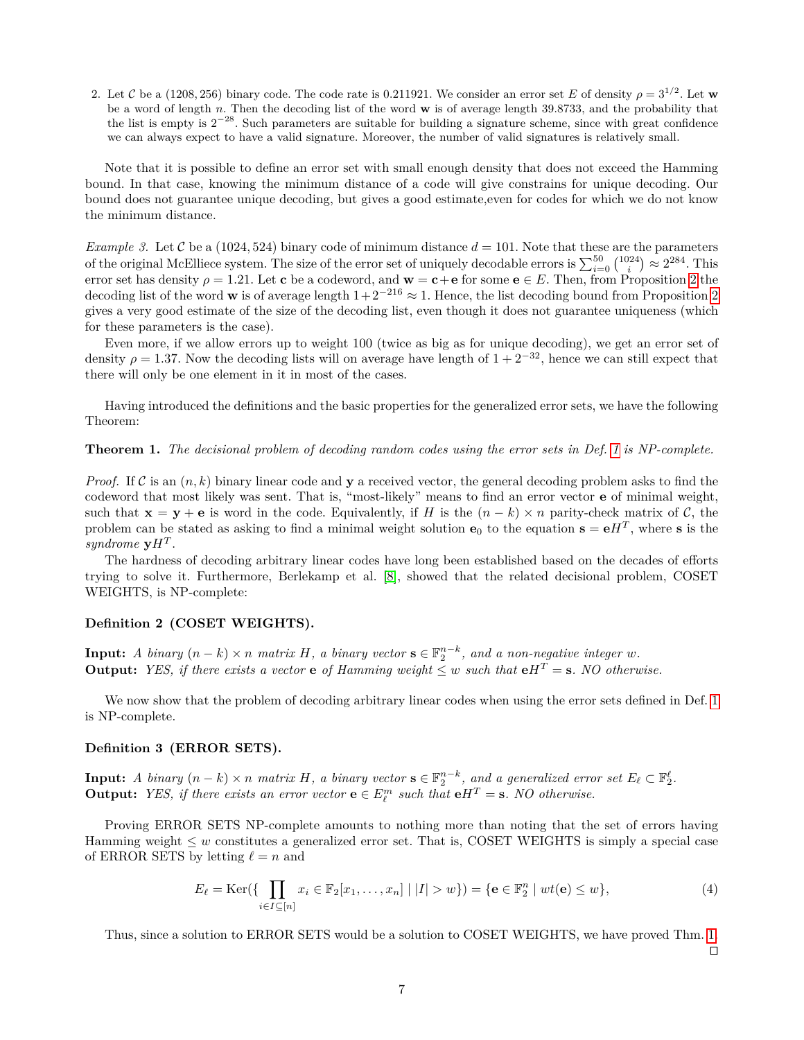<span id="page-6-1"></span>2. Let C be a (1208, 256) binary code. The code rate is 0.211921. We consider an error set E of density  $\rho = 3^{1/2}$ . Let w be a word of length *n*. Then the decoding list of the word **w** is of average length 39*.*8733, and the probability that the list is empty is 2<sup>−</sup><sup>28</sup>. Such parameters are suitable for building a signature scheme, since with great confidence we can always expect to have a valid signature. Moreover, the number of valid signatures is relatively small.

Note that it is possible to define an error set with small enough density that does not exceed the Hamming bound. In that case, knowing the minimum distance of a code will give constrains for unique decoding. Our bound does not guarantee unique decoding, but gives a good estimate,even for codes for which we do not know the minimum distance.

*Example 3.* Let C be a (1024, 524) binary code of minimum distance  $d = 101$ . Note that these are the parameters of the original McElliece system. The size of the error set of uniquely decodable errors is  $\sum_{i=0}^{50} {1024 \choose i} \approx 2^{284}$ . This error set has density  $\rho = 1.21$ . Let **c** be a codeword, and  $\mathbf{w} = \mathbf{c} + \mathbf{e}$  for some  $\mathbf{e} \in E$ . Then, from Proposition [2](#page-5-1) the decoding list of the word **w** is of average length  $1+2^{-216} \approx 1$ . Hence, the list decoding bound from Proposition [2](#page-5-1) gives a very good estimate of the size of the decoding list, even though it does not guarantee uniqueness (which for these parameters is the case).

Even more, if we allow errors up to weight 100 (twice as big as for unique decoding), we get an error set of density  $\rho = 1.37$ . Now the decoding lists will on average have length of  $1 + 2^{-32}$ , hence we can still expect that there will only be one element in it in most of the cases.

<span id="page-6-0"></span>Having introduced the definitions and the basic properties for the generalized error sets, we have the following Theorem:

#### **Theorem 1.** *The decisional problem of decoding random codes using the error sets in Def. [1](#page-4-2) is NP-complete.*

*Proof.* If C is an  $(n, k)$  binary linear code and **y** a received vector, the general decoding problem asks to find the codeword that most likely was sent. That is, "most-likely" means to find an error vector **e** of minimal weight, such that  $\mathbf{x} = \mathbf{y} + \mathbf{e}$  is word in the code. Equivalently, if *H* is the  $(n - k) \times n$  parity-check matrix of *C*, the problem can be stated as asking to find a minimal weight solution  $\mathbf{e}_0$  to the equation  $\mathbf{s} = \mathbf{e}H^T$ , where **s** is the *syndrome* **y***H<sup>T</sup>* .

The hardness of decoding arbitrary linear codes have long been established based on the decades of efforts trying to solve it. Furthermore, Berlekamp et al. [\[8\]](#page-19-15), showed that the related decisional problem, COSET WEIGHTS, is NP-complete:

#### **Definition 2 (COSET WEIGHTS).**

**Input:** *A* binary  $(n - k) \times n$  matrix *H*, a binary vector  $\mathbf{s} \in \mathbb{F}_2^{n-k}$ , and a non-negative integer *w*. **Output:** *YES, if there exists a vector* **e** *of Hamming weight*  $\leq w$  *such that*  $eH^T = s$ *. NO otherwise.* 

We now show that the problem of decoding arbitrary linear codes when using the error sets defined in Def. [1](#page-4-2) is NP-complete.

#### **Definition 3 (ERROR SETS).**

**Input:** *A* binary  $(n - k) \times n$  matrix *H*, a binary vector  $\mathbf{s} \in \mathbb{F}_2^{n-k}$ , and a generalized error set  $E_\ell \subset \mathbb{F}_2^{\ell}$ . **Output:** *YES, if there exists an error vector*  $\mathbf{e} \in E_{\ell}^{m}$  *such that*  $\mathbf{e}H^{T} = \mathbf{s}$ *. NO otherwise.* 

Proving ERROR SETS NP-complete amounts to nothing more than noting that the set of errors having Hamming weight ≤ *w* constitutes a generalized error set. That is, COSET WEIGHTS is simply a special case of ERROR SETS by letting  $\ell = n$  and

$$
E_{\ell} = \text{Ker}\left(\left\{\prod_{i \in I \subseteq [n]} x_i \in \mathbb{F}_2[x_1, \dots, x_n] \mid |I| > w\right\}\right) = \left\{\mathbf{e} \in \mathbb{F}_2^n \mid wt(\mathbf{e}) \le w\right\},\tag{4}
$$

Thus, since a solution to ERROR SETS would be a solution to COSET WEIGHTS, we have proved Thm. [1.](#page-6-0)  $\Box$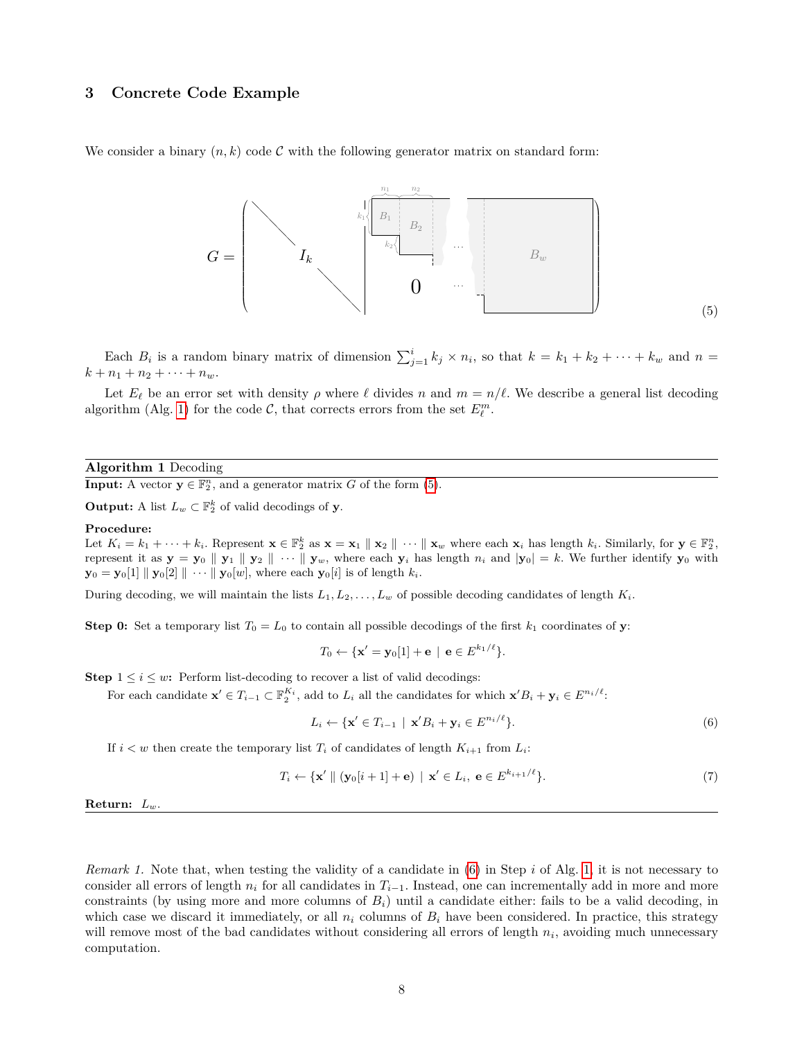## <span id="page-7-0"></span>**3 Concrete Code Example**

We consider a binary  $(n, k)$  code C with the following generator matrix on standard form:

<span id="page-7-2"></span>

Each  $B_i$  is a random binary matrix of dimension  $\sum_{j=1}^i k_j \times n_i$ , so that  $k = k_1 + k_2 + \cdots + k_w$  and  $n =$  $k + n_1 + n_2 + \cdots + n_w$ .

Let  $E_\ell$  be an error set with density  $\rho$  where  $\ell$  divides  $n$  and  $m = n/\ell$ . We describe a general list decoding algorithm (Alg. [1\)](#page-7-1) for the code  $\mathcal{C}$ , that corrects errors from the set  $E_{\ell}^{m}$ .

#### <span id="page-7-1"></span>**Algorithm 1** Decoding

**Input:** A vector  $y \in \mathbb{F}_2^n$ , and a generator matrix *G* of the form [\(5\)](#page-7-2).

**Output:** A list  $L_w \subset \mathbb{F}_2^k$  of valid decodings of **y**.

#### **Procedure:**

Let  $K_i = k_1 + \cdots + k_i$ . Represent  $\mathbf{x} \in \mathbb{F}_2^k$  as  $\mathbf{x} = \mathbf{x}_1 \parallel \mathbf{x}_2 \parallel \cdots \parallel \mathbf{x}_w$  where each  $\mathbf{x}_i$  has length  $k_i$ . Similarly, for  $\mathbf{y} \in \mathbb{F}_2^n$ , represent it as  $y = y_0 \parallel y_1 \parallel y_2 \parallel \cdots \parallel y_w$ , where each  $y_i$  has length  $n_i$  and  $|y_0| = k$ . We further identify  $y_0$  with  $\mathbf{y}_0 = \mathbf{y}_0[1] \parallel \mathbf{y}_0[2] \parallel \cdots \parallel \mathbf{y}_0[w]$ , where each  $\mathbf{y}_0[i]$  is of length  $k_i$ .

During decoding, we will maintain the lists  $L_1, L_2, \ldots, L_w$  of possible decoding candidates of length  $K_i$ .

**Step 0:** Set a temporary list  $T_0 = L_0$  to contain all possible decodings of the first  $k_1$  coordinates of **y**:

$$
T_0 \leftarrow \{\mathbf{x}' = \mathbf{y}_0[1] + \mathbf{e} \mid \mathbf{e} \in E^{k_1/\ell}\}.
$$

**Step**  $1 \leq i \leq w$ : Perform list-decoding to recover a list of valid decodings:

For each candidate  $\mathbf{x}' \in T_{i-1} \subset \mathbb{F}_2^{K_i}$ , add to  $L_i$  all the candidates for which  $\mathbf{x}'B_i + \mathbf{y}_i \in E^{n_i/\ell}$ :

<span id="page-7-3"></span>
$$
L_i \leftarrow \{ \mathbf{x}' \in T_{i-1} \mid \mathbf{x}'B_i + \mathbf{y}_i \in E^{n_i/\ell} \}. \tag{6}
$$

If  $i < w$  then create the temporary list  $T_i$  of candidates of length  $K_{i+1}$  from  $L_i$ :

$$
T_i \leftarrow \{ \mathbf{x}' \mid \mid (\mathbf{y}_0[i+1] + \mathbf{e}) \mid \mathbf{x}' \in L_i, \, \mathbf{e} \in E^{k_{i+1}/\ell} \}. \tag{7}
$$

**Return:** *Lw*.

<span id="page-7-4"></span>*Remark 1.* Note that, when testing the validity of a candidate in [\(6\)](#page-7-3) in Step *i* of Alg. [1,](#page-7-1) it is not necessary to consider all errors of length  $n_i$  for all candidates in  $T_{i-1}$ . Instead, one can incrementally add in more and more constraints (by using more and more columns of  $B_i$ ) until a candidate either: fails to be a valid decoding, in which case we discard it immediately, or all  $n_i$  columns of  $B_i$  have been considered. In practice, this strategy will remove most of the bad candidates without considering all errors of length  $n_i$ , avoiding much unnecessary computation.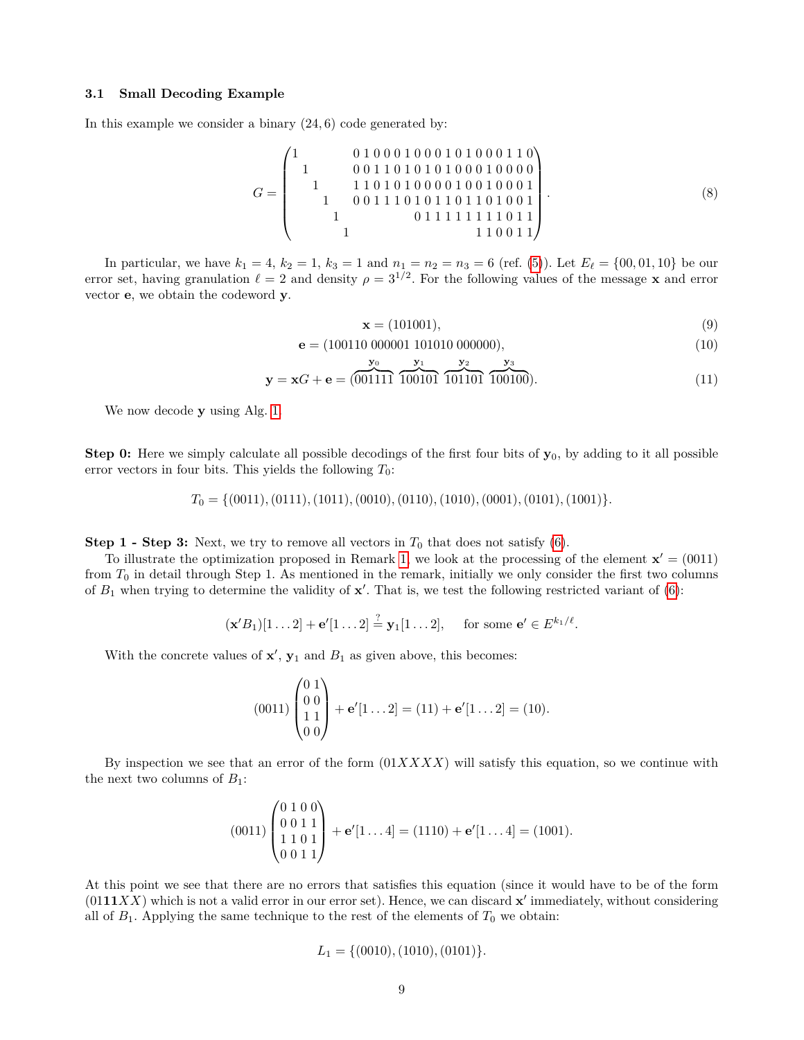## <span id="page-8-0"></span>**3.1 Small Decoding Example**

In this example we consider a binary (24*,* 6) code generated by:

*G* = 1 0 1 0 0 0 1 0 0 0 1 0 1 0 0 0 1 1 0 1 0 0 1 1 0 1 0 1 0 1 0 0 0 1 0 0 0 0 1 1 1 0 1 0 1 0 0 0 0 1 0 0 1 0 0 0 1 1 0 0 1 1 1 0 1 0 1 1 0 1 1 0 1 0 0 1 1 0 1 1 1 1 1 1 1 1 0 1 1 1 1 1 0 0 1 1 *.* (8)

In particular, we have  $k_1 = 4$ ,  $k_2 = 1$ ,  $k_3 = 1$  and  $n_1 = n_2 = n_3 = 6$  (ref. [\(5\)](#page-7-2)). Let  $E_\ell = \{00, 01, 10\}$  be our error set, having granulation  $\ell = 2$  and density  $\rho = 3^{1/2}$ . For the following values of the message **x** and error vector **e**, we obtain the codeword **y**.

$$
\mathbf{x} = (101001),\tag{9}
$$

$$
\mathbf{e} = (100110\ 000001\ 101010\ 000000),\tag{10}
$$

$$
\mathbf{y} = \mathbf{x}G + \mathbf{e} = \begin{pmatrix} \frac{\mathbf{y}_0}{2} & \frac{\mathbf{y}_1}{2} & \frac{\mathbf{y}_2}{2} \\ 0 & 0 & 1 & 1 \end{pmatrix} \frac{\mathbf{y}_2}{101101} \frac{\mathbf{y}_3}{100100}.
$$
 (11)

We now decode **y** using Alg. [1.](#page-7-1)

**Step 0:** Here we simply calculate all possible decodings of the first four bits of **y**0, by adding to it all possible error vectors in four bits. This yields the following  $T_0$ :

$$
T_0 = \{(0011), (0111), (1011), (0010), (0110), (1010), (0001), (0101), (1001)\}.
$$

**Step 1 - Step 3:** Next, we try to remove all vectors in  $T_0$  that does not satisfy [\(6\)](#page-7-3).

To illustrate the optimization proposed in Remark [1,](#page-7-4) we look at the processing of the element  $\mathbf{x}' = (0011)$ from *T*<sup>0</sup> in detail through Step 1. As mentioned in the remark, initially we only consider the first two columns of  $B_1$  when trying to determine the validity of  $\mathbf{x}'$ . That is, we test the following restricted variant of [\(6\)](#page-7-3):

$$
(\mathbf{x}'B_1)[1\ldots 2] + \mathbf{e}'[1\ldots 2] \stackrel{?}{=} \mathbf{y}_1[1\ldots 2], \quad \text{ for some } \mathbf{e}' \in E^{k_1/\ell}.
$$

With the concrete values of  $x'$ ,  $y_1$  and  $B_1$  as given above, this becomes:

$$
(0011)
$$
 $\begin{pmatrix} 0 & 1 \\ 0 & 0 \\ 1 & 1 \\ 0 & 0 \end{pmatrix}$  +  $\mathbf{e}'[1...2] = (11) + \mathbf{e}'[1...2] = (10).$ 

By inspection we see that an error of the form (01*XXXX*) will satisfy this equation, so we continue with the next two columns of  $B_1$ :

$$
(0011)\begin{pmatrix} 0 & 1 & 0 & 0 \\ 0 & 0 & 1 & 1 \\ 1 & 1 & 0 & 1 \\ 0 & 0 & 1 & 1 \end{pmatrix} + \mathbf{e}'[1 \dots 4] = (1110) + \mathbf{e}'[1 \dots 4] = (1001).
$$

At this point we see that there are no errors that satisfies this equation (since it would have to be of the form  $(0111XX)$  which is not a valid error in our error set). Hence, we can discard  $\mathbf{x}'$  immediately, without considering all of  $B_1$ . Applying the same technique to the rest of the elements of  $T_0$  we obtain:

$$
L_1 = \{(0010), (1010), (0101)\}.
$$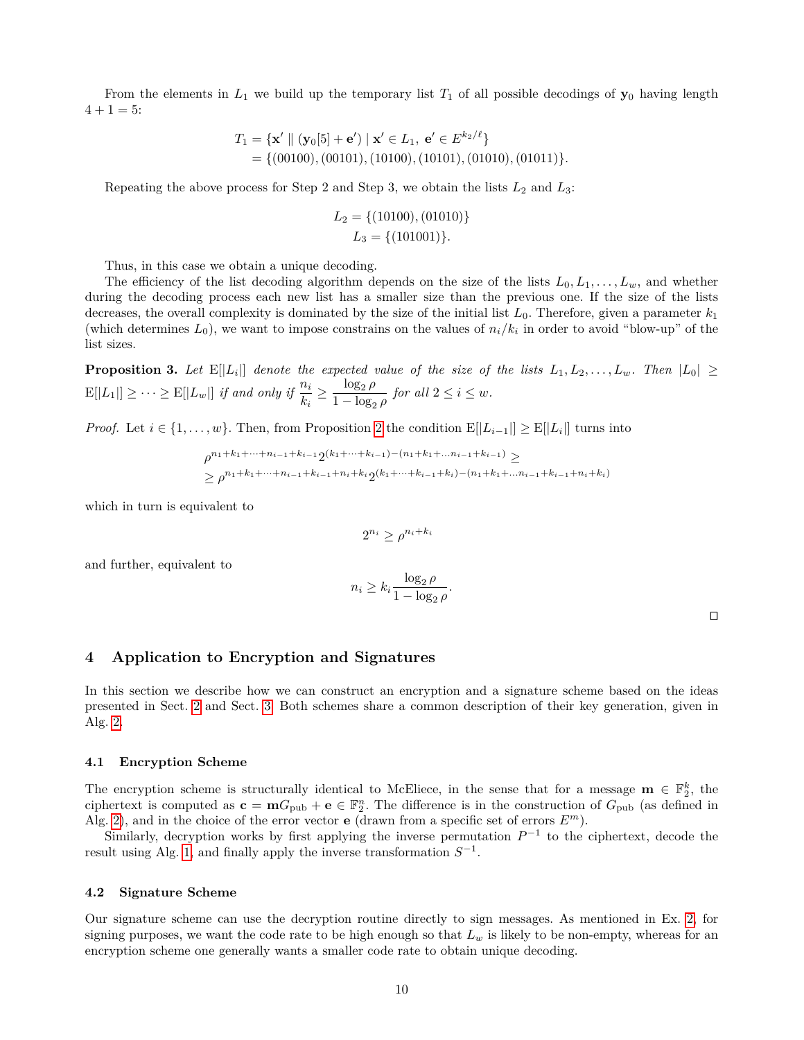From the elements in  $L_1$  we build up the temporary list  $T_1$  of all possible decodings of  $y_0$  having length  $4 + 1 = 5$ :

$$
T_1 = \{ \mathbf{x}' \mid \mid (\mathbf{y}_0[5] + \mathbf{e}') \mid \mathbf{x}' \in L_1, \ \mathbf{e}' \in E^{k_2/\ell} \}
$$
  
= \{ (00100), (00101), (10100), (10101), (01010), (01011) \}.

Repeating the above process for Step 2 and Step 3, we obtain the lists  $L_2$  and  $L_3$ :

$$
L_2 = \{(10100), (01010)\}
$$
  

$$
L_3 = \{(101001)\}.
$$

Thus, in this case we obtain a unique decoding.

The efficiency of the list decoding algorithm depends on the size of the lists  $L_0, L_1, \ldots, L_w$ , and whether during the decoding process each new list has a smaller size than the previous one. If the size of the lists decreases, the overall complexity is dominated by the size of the initial list *L*0. Therefore, given a parameter *k*<sup>1</sup> (which determines  $L_0$ ), we want to impose constrains on the values of  $n_i/k_i$  in order to avoid "blow-up" of the list sizes.

<span id="page-9-3"></span>**Proposition 3.** Let  $E[L_i]$  denote the expected value of the size of the lists  $L_1, L_2, \ldots, L_w$ . Then  $|L_0| \geq$  $\mathbb{E}[|L_1|] \geq \cdots \geq \mathbb{E}[|L_w|]$  *if and only if*  $\frac{n_i}{k_i} \geq \frac{\log_2 \rho}{1 - \log_2 \rho}$  $\frac{\log_2 P}{1 - \log_2 \rho}$  for all  $2 \leq i \leq w$ .

*Proof.* Let  $i \in \{1, \ldots, w\}$ . Then, from Proposition [2](#page-5-1) the condition  $E[|L_{i-1}|] \ge E[|L_i|]$  turns into

$$
\begin{aligned} &\rho^{n_1+k_1+\cdots+n_{i-1}+k_{i-1}} 2^{(k_1+\cdots+k_{i-1})-(n_1+k_1+\ldots+n_{i-1}+k_{i-1})} \geq \\ &\geq \rho^{n_1+k_1+\cdots+n_{i-1}+k_{i-1}+n_i+k_i} 2^{(k_1+\cdots+k_{i-1}+k_i)-(n_1+k_1+\ldots+n_{i-1}+k_{i-1}+n_i+k_i)} \end{aligned}
$$

which in turn is equivalent to

$$
2^{n_i} \ge \rho^{n_i + k_i}
$$

and further, equivalent to

$$
n_i \ge k_i \frac{\log_2 \rho}{1 - \log_2 \rho}
$$

*.*

 $\Box$ 

## <span id="page-9-0"></span>**4 Application to Encryption and Signatures**

In this section we describe how we can construct an encryption and a signature scheme based on the ideas presented in Sect. [2](#page-4-0) and Sect. [3.](#page-7-0) Both schemes share a common description of their key generation, given in Alg. [2.](#page-10-0)

#### <span id="page-9-1"></span>**4.1 Encryption Scheme**

The encryption scheme is structurally identical to McEliece, in the sense that for a message  $\mathbf{m} \in \mathbb{F}_2^k$ , the ciphertext is computed as  $\mathbf{c} = \mathbf{m} G_{\text{pub}} + \mathbf{e} \in \mathbb{F}_2^n$ . The difference is in the construction of  $G_{\text{pub}}$  (as defined in Alg. [2\)](#page-10-0), and in the choice of the error vector **e** (drawn from a specific set of errors *E<sup>m</sup>*).

Similarly, decryption works by first applying the inverse permutation  $P^{-1}$  to the ciphertext, decode the result using Alg. [1,](#page-7-1) and finally apply the inverse transformation  $S^{-1}$ .

#### <span id="page-9-2"></span>**4.2 Signature Scheme**

Our signature scheme can use the decryption routine directly to sign messages. As mentioned in Ex. [2,](#page-5-2) for signing purposes, we want the code rate to be high enough so that  $L_w$  is likely to be non-empty, whereas for an encryption scheme one generally wants a smaller code rate to obtain unique decoding.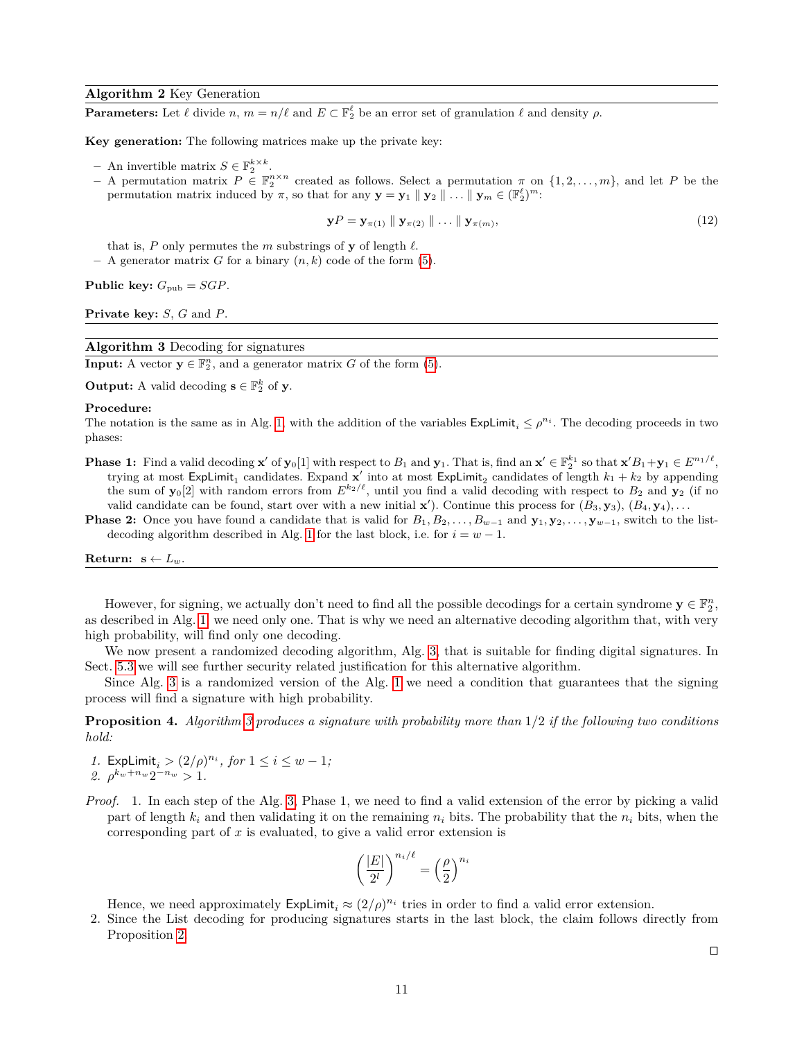#### <span id="page-10-0"></span>**Algorithm 2** Key Generation

**Parameters:** Let  $\ell$  divide  $n, m = n/\ell$  and  $E \subset \mathbb{F}_2^{\ell}$  be an error set of granulation  $\ell$  and density  $\rho$ .

**Key generation:** The following matrices make up the private key:

- $-$  An invertible matrix  $S \in \mathbb{F}_2^{k \times k}$ .
- $-$  A permutation matrix *P* ∈  $\mathbb{F}_2^{n \times n}$  created as follows. Select a permutation *π* on {1, 2, . . . , *m*}, and let *P* be the permutation matrix induced by  $\pi$ , so that for any  $\mathbf{y} = \mathbf{y}_1 \parallel \mathbf{y}_2 \parallel \ldots \parallel \mathbf{y}_m \in (\mathbb{F}_2^{\ell})^m$ :

$$
\mathbf{y}P = \mathbf{y}_{\pi(1)} \parallel \mathbf{y}_{\pi(2)} \parallel \dots \parallel \mathbf{y}_{\pi(m)},
$$
\n(12)

that is, P only permutes the m substrings of **y** of length  $\ell$ .

 $-$  A generator matrix *G* for a binary  $(n, k)$  code of the form  $(5)$ .

**Public key:**  $G_{\text{pub}} = SGP$ .

**Private key:** *S*, *G* and *P*.

#### <span id="page-10-1"></span>**Algorithm 3** Decoding for signatures

**Input:** A vector  $y \in \mathbb{F}_2^n$ , and a generator matrix *G* of the form [\(5\)](#page-7-2).

**Output:** A valid decoding  $\mathbf{s} \in \mathbb{F}_2^k$  of **y**.

#### **Procedure:**

The notation is the same as in Alg. [1,](#page-7-1) with the addition of the variables  $\textsf{ExpLimit}_i \leq \rho^{n_i}$ . The decoding proceeds in two phases:

- **Phase 1:** Find a valid decoding **x**' of **y**<sub>0</sub>[1] with respect to  $B_1$  and **y**<sub>1</sub>. That is, find an **x**'  $\in \mathbb{F}_2^{k_1}$  so that  $\mathbf{x}'B_1 + \mathbf{y}_1 \in E^{n_1/\ell}$ , trying at most  $\textsf{ExpLimit}_1$  candidates. Expand **x**' into at most  $\textsf{ExpLimit}_2$  candidates of length  $k_1 + k_2$  by appending the sum of  $y_0[2]$  with random errors from  $E^{k_2/\ell}$ , until you find a valid decoding with respect to  $B_2$  and  $y_2$  (if no valid candidate can be found, start over with a new initial  $\mathbf{x}'$ ). Continue this process for  $(B_3, \mathbf{y}_3)$ ,  $(B_4, \mathbf{y}_4)$ , ...
- **Phase 2:** Once you have found a candidate that is valid for  $B_1, B_2, \ldots, B_{w-1}$  and  $\mathbf{y}_1, \mathbf{y}_2, \ldots, \mathbf{y}_{w-1}$ , switch to the list-decoding algorithm described in Alg. [1](#page-7-1) for the last block, i.e. for  $i = w - 1$ .

**Return:**  $s \leftarrow L_w$ .

However, for signing, we actually don't need to find all the possible decodings for a certain syndrome  $\mathbf{y} \in \mathbb{F}_2^n$ , as described in Alg. [1;](#page-7-1) we need only one. That is why we need an alternative decoding algorithm that, with very high probability, will find only one decoding.

We now present a randomized decoding algorithm, Alg. [3,](#page-10-1) that is suitable for finding digital signatures. In Sect. [5.3](#page-14-0) we will see further security related justification for this alternative algorithm.

Since Alg. [3](#page-10-1) is a randomized version of the Alg. [1](#page-7-1) we need a condition that guarantees that the signing process will find a signature with high probability.

**Proposition 4.** *Algorithm [3](#page-10-1) produces a signature with probability more than* 1*/*2 *if the following two conditions hold:*

*1.* Explimit<sub>*i*</sub> >  $(2/\rho)^{n_i}$ , for  $1 \le i \le w - 1$ ; 2.  $\rho^{k_w+n_w}2^{-n_w} > 1$ .

*Proof.* 1. In each step of the Alg. [3,](#page-10-1) Phase 1, we need to find a valid extension of the error by picking a valid part of length  $k_i$  and then validating it on the remaining  $n_i$  bits. The probability that the  $n_i$  bits, when the corresponding part of *x* is evaluated, to give a valid error extension is

<span id="page-10-2"></span>
$$
\left(\frac{|E|}{2^l}\right)^{n_i/\ell} = \left(\frac{\rho}{2}\right)^{n_i}
$$

Hence, we need approximately  $\textsf{Explimit}_i \approx (2/\rho)^{n_i}$  tries in order to find a valid error extension.

2. Since the List decoding for producing signatures starts in the last block, the claim follows directly from Proposition [2.](#page-5-1)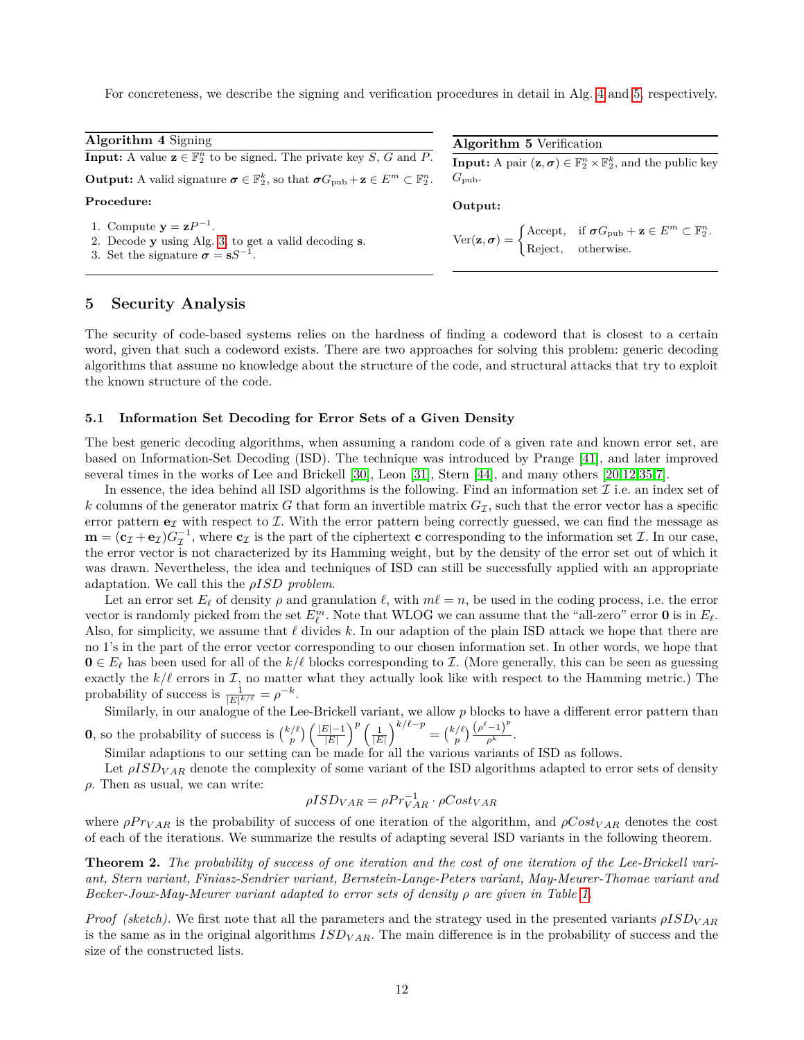<span id="page-11-4"></span><span id="page-11-3"></span>For concreteness, we describe the signing and verification procedures in detail in Alg. [4](#page-11-2) and [5,](#page-11-3) respectively.

<span id="page-11-2"></span>

| <b>Algorithm 4 Signing</b>                                                                                                                   | Algorithm 5 Verification                                                                                                                                                                          |
|----------------------------------------------------------------------------------------------------------------------------------------------|---------------------------------------------------------------------------------------------------------------------------------------------------------------------------------------------------|
| <b>Input:</b> A value $\mathbf{z} \in \mathbb{F}_2^n$ to be signed. The private key S, G and P.                                              | <b>Input:</b> A pair $(\mathbf{z}, \sigma) \in \mathbb{F}_2^n \times \mathbb{F}_2^k$ , and the public key                                                                                         |
| <b>Output:</b> A valid signature $\sigma \in \mathbb{F}_2^k$ , so that $\sigma G_{\text{pub}} + \mathbf{z} \in E^m \subset \mathbb{F}_2^n$ . | $G_{\text{pub}}$ .                                                                                                                                                                                |
| Procedure:                                                                                                                                   | Output:                                                                                                                                                                                           |
| 1. Compute $y = zP^{-1}$ .<br>2. Decode y using Alg. 3, to get a valid decoding s.<br>3. Set the signature $\sigma = sS^{-1}$ .              | $\text{Ver}(\mathbf{z}, \sigma) = \begin{cases} \text{Accept}, & \text{if } \sigma G_{\text{pub}} + \mathbf{z} \in E^m \subset \mathbb{F}_2^n. \\ \text{Reject}, & \text{otherwise.} \end{cases}$ |

## <span id="page-11-0"></span>**5 Security Analysis**

The security of code-based systems relies on the hardness of finding a codeword that is closest to a certain word, given that such a codeword exists. There are two approaches for solving this problem: generic decoding algorithms that assume no knowledge about the structure of the code, and structural attacks that try to exploit the known structure of the code.

#### <span id="page-11-1"></span>**5.1 Information Set Decoding for Error Sets of a Given Density**

The best generic decoding algorithms, when assuming a random code of a given rate and known error set, are based on Information-Set Decoding (ISD). The technique was introduced by Prange [\[41\]](#page-20-21), and later improved several times in the works of Lee and Brickell [\[30\]](#page-20-2), Leon [\[31\]](#page-20-22), Stern [\[44\]](#page-21-0), and many others [\[20,](#page-20-3)[12,](#page-19-2)[35,](#page-20-4)[7\]](#page-19-3).

In essence, the idea behind all ISD algorithms is the following. Find an information set  $\mathcal I$  i.e. an index set of  $k$  columns of the generator matrix  $G$  that form an invertible matrix  $G<sub>I</sub>$ , such that the error vector has a specific error pattern  $e_{\mathcal{I}}$  with respect to  $\mathcal{I}$ . With the error pattern being correctly guessed, we can find the message as  $\mathbf{m} = (\mathbf{c}_I + \mathbf{e}_I) G_I^{-1}$ , where  $\mathbf{c}_I$  is the part of the ciphertext **c** corresponding to the information set *I*. In our case, the error vector is not characterized by its Hamming weight, but by the density of the error set out of which it was drawn. Nevertheless, the idea and techniques of ISD can still be successfully applied with an appropriate adaptation. We call this the *ρISD problem*.

Let an error set  $E_\ell$  of density  $\rho$  and granulation  $\ell$ , with  $m\ell = n$ , be used in the coding process, i.e. the error vector is randomly picked from the set  $E_{\ell}^{m}$ . Note that WLOG we can assume that the "all-zero" error **0** is in  $E_{\ell}$ . Also, for simplicity, we assume that  $\ell$  divides  $k$ . In our adaption of the plain ISD attack we hope that there are no 1's in the part of the error vector corresponding to our chosen information set. In other words, we hope that  $\mathbf{0} \in E_{\ell}$  has been used for all of the  $k/\ell$  blocks corresponding to  $\mathcal{I}$ . (More generally, this can be seen as guessing exactly the  $k/\ell$  errors in  $\mathcal{I}$ , no matter what they actually look like with respect to the Hamming metric.) The probability of success is  $\frac{1}{|E|^{k/\ell}} = \rho^{-k}$ .

Similarly, in our analogue of the Lee-Brickell variant, we allow *p* blocks to have a different error pattern than **0**, so the probability of success is  $\binom{k/\ell}{p}$   $\left(\frac{|E|-1}{|E|}\right)$  $\left(\frac{E|-1}{|E|}\right)^p \left(\frac{1}{|E|}\right)^{k/\ell-p} = \binom{k/\ell}{p} \frac{\left(\rho^{\ell}-1\right)^p}{\rho^k}.$ 

Similar adaptions to our setting can be made for all the various variants of ISD as follows.

Let *ρISDV AR* denote the complexity of some variant of the ISD algorithms adapted to error sets of density  $\rho$ . Then as usual, we can write:

$$
\rho ISD_{VAR} = \rho Pr_{VAR}^{-1} \cdot \rho Cost_{VAR}
$$

where  $\rho Pr_{VAR}$  is the probability of success of one iteration of the algorithm, and  $\rho Cost_{VAR}$  denotes the cost of each of the iterations. We summarize the results of adapting several ISD variants in the following theorem.

**Theorem 2.** *The probability of success of one iteration and the cost of one iteration of the Lee-Brickell variant, Stern variant, Finiasz-Sendrier variant, Bernstein-Lange-Peters variant, May-Meurer-Thomae variant and Becker-Joux-May-Meurer variant adapted to error sets of density ρ are given in Table [1.](#page-12-1)*

*Proof (sketch).* We first note that all the parameters and the strategy used in the presented variants *ρISDV AR* is the same as in the original algorithms *ISDV AR*. The main difference is in the probability of success and the size of the constructed lists.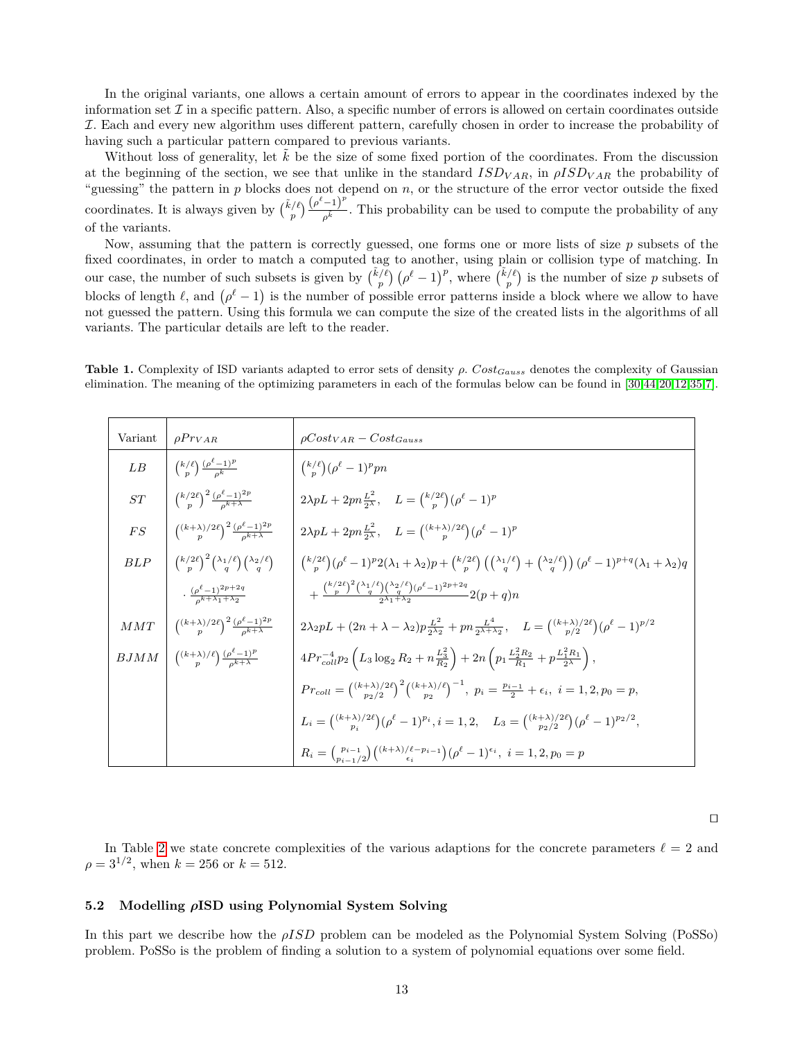<span id="page-12-2"></span>In the original variants, one allows a certain amount of errors to appear in the coordinates indexed by the information set  $\mathcal I$  in a specific pattern. Also, a specific number of errors is allowed on certain coordinates outside I. Each and every new algorithm uses different pattern, carefully chosen in order to increase the probability of having such a particular pattern compared to previous variants.

Without loss of generality, let k be the size of some fixed portion of the coordinates. From the discussion at the beginning of the section, we see that unlike in the standard *ISDV AR*, in *ρISDV AR* the probability of "guessing" the pattern in  $p$  blocks does not depend on  $n$ , or the structure of the error vector outside the fixed coordinates. It is always given by  $\left(\frac{\tilde{k}/\ell}{p}\right) \frac{\left(\rho^{\ell}-1\right)^p}{\rho^{\tilde{k}}}$ . This probability can be used to compute the probability of any of the variants.

Now, assuming that the pattern is correctly guessed, one forms one or more lists of size *p* subsets of the fixed coordinates, in order to match a computed tag to another, using plain or collision type of matching. In our case, the number of such subsets is given by  $\binom{\tilde{k}/\ell}{p}$   $(\rho^{\ell} - 1)^p$ , where  $\binom{\tilde{k}/\ell}{p}$  is the number of size *p* subsets of blocks of length  $\ell$ , and  $(\rho^{\ell} - 1)$  is the number of possible error patterns inside a block where we allow to have not guessed the pattern. Using this formula we can compute the size of the created lists in the algorithms of all variants. The particular details are left to the reader.

<span id="page-12-1"></span>**Table 1.** Complexity of ISD variants adapted to error sets of density *ρ*. *CostGauss* denotes the complexity of Gaussian elimination. The meaning of the optimizing parameters in each of the formulas below can be found in [\[30,](#page-20-2)[44,](#page-21-0)[20,](#page-20-3)[12,](#page-19-2)[35,](#page-20-4)[7\]](#page-19-3).

| Variant   | $\rho Pr_{VAR}$                                                                         | $\rho Cost_{VAR} - Cost_{Gauss}$                                                                                                                                                             |
|-----------|-----------------------------------------------------------------------------------------|----------------------------------------------------------------------------------------------------------------------------------------------------------------------------------------------|
| LB        | $\binom{k/\ell}{n}\frac{(\rho^{\ell}-1)^p}{\rho^k}$                                     | $\binom{k/\ell}{n}(\rho^{\ell}-1)^p p n$                                                                                                                                                     |
| $\cal ST$ | $\left(\frac{k/2\ell}{n}\right)^2 \frac{(\rho^{\ell}-1)^{2p}}{e^{k+\lambda}}$           | $2\lambda pL + 2pn\frac{L^2}{2\lambda}, \quad L = {k/2\ell \choose n}(\rho^{\ell} - 1)^p$                                                                                                    |
| FS        | $\left(\frac{(k+\lambda)/2\ell}{p}\right)^2 \frac{(\rho^{\ell}-1)^{2p}}{e^{k+\lambda}}$ | $2\lambda pL + 2pn\frac{L^2}{2\lambda}, \quad L = \binom{(k+\lambda)/2\ell}{p}(\rho^{\ell}-1)^p$                                                                                             |
| BLP       | $\binom{k/2\ell}{n}^2\binom{\lambda_1/\ell}{q}\binom{\lambda_2/\ell}{q}$                | $\binom{k/2\ell}{n}(\rho^{\ell}-1)^{p}2(\lambda_1+\lambda_2)p+\binom{k/2\ell}{n}\left(\binom{\lambda_1/\ell}{q}+\binom{\lambda_2/\ell}{q}\right)(\rho^{\ell}-1)^{p+q}(\lambda_1+\lambda_2)q$ |
|           | $\frac{(\rho^{\ell}-1)^{2p+2q}}{e^{k+\lambda_1+\lambda_2}}$                             | $+\frac{\binom{k/2\ell}{p}^2\binom{\lambda_1/\ell}{q}\binom{\lambda_2/\ell}{q}(\rho^{\ell}-1)^{2p+2q}}{2^{k+1}2^{2p}}2(p+q)n$                                                                |
| MMT       | $\left(\frac{(k+\lambda)/2\ell}{n}\right)^2 \frac{(\rho^{\ell}-1)^{2p}}{2k+\lambda}$    | $2\lambda_2 pL + (2n + \lambda - \lambda_2)p\frac{L^2}{2\lambda_2} + p n \frac{L^4}{2\lambda_1 + \lambda_2}, \quad L = \frac{((k+\lambda)/2\ell)}{n/2}(\rho^{\ell} - 1)^{p/2}$               |
| BJMM      | $\binom{(k+\lambda)/\ell}{p} \frac{(\rho^{\ell}-1)^p}{\rho^{k+\lambda}}$                | $4Pr_{coll}^{-4}p_2\left(L_3\log_2R_2+n\frac{L_3^2}{R_2}\right)+2n\left(p_1\frac{L_2^2R_2}{R_1}+p\frac{L_1^2R_1}{2\lambda}\right),$                                                          |
|           |                                                                                         | $Pr_{coll} = \binom{(k+\lambda)/2\ell}{p_2/2}^2 \binom{(k+\lambda)/\ell}{p_2}^{-1}, p_i = \frac{p_{i-1}}{2} + \epsilon_i, i = 1, 2, p_0 = p,$                                                |
|           |                                                                                         | $L_i = \binom{(k+\lambda)/2\ell}{n} (\rho^{\ell}-1)^{p_i}, i=1,2, \quad L_3 = \binom{(k+\lambda)/2\ell}{n} (\rho^{\ell}-1)^{p_2/2},$                                                         |
|           |                                                                                         | $R_i = {p_{i-1} \choose p_{i-1}/2} { (k+\lambda)/\ell - p_{i-1} \choose \epsilon_i} (\rho^{\ell} - 1)^{\epsilon_i}, i = 1, 2, p_0 = p$                                                       |

 $\Box$ 

In Table [2](#page-13-0) we state concrete complexities of the various adaptions for the concrete parameters  $\ell = 2$  and  $\rho = 3^{1/2}$ , when  $k = 256$  or  $k = 512$ .

#### <span id="page-12-0"></span>**5.2 Modelling** *ρ***ISD using Polynomial System Solving**

In this part we describe how the *ρISD* problem can be modeled as the Polynomial System Solving (PoSSo) problem. PoSSo is the problem of finding a solution to a system of polynomial equations over some field.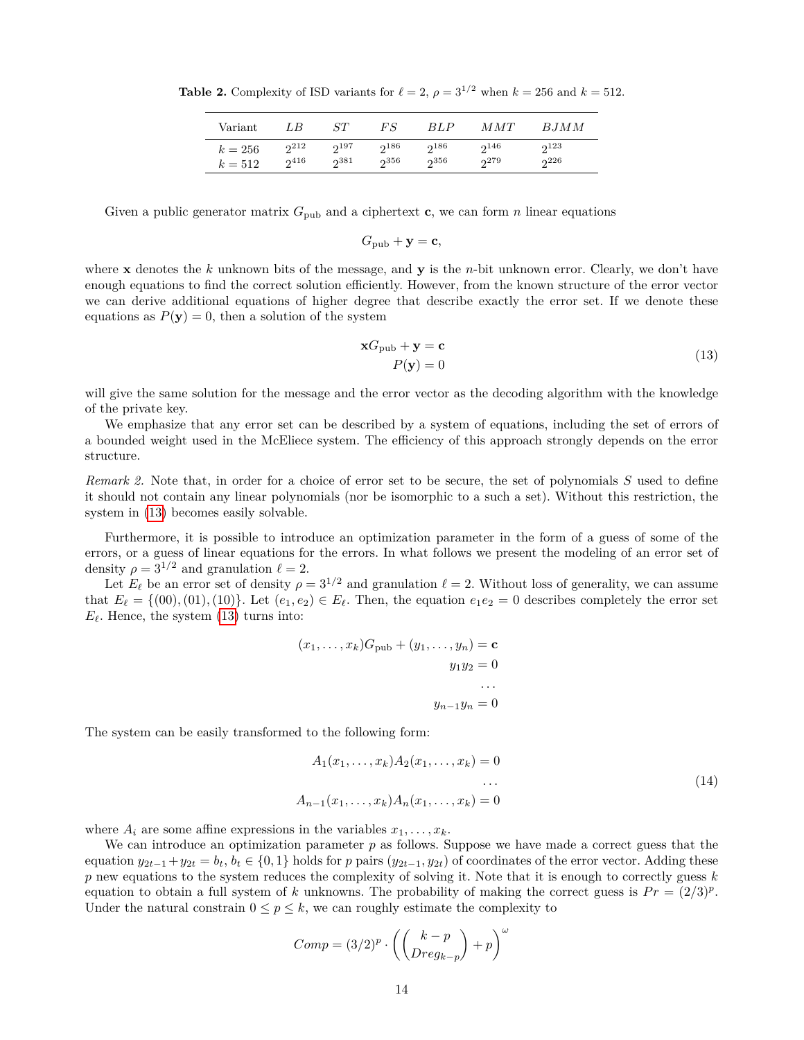**Table 2.** Complexity of ISD variants for  $\ell = 2$ ,  $\rho = 3^{1/2}$  when  $k = 256$  and  $k = 512$ .

<span id="page-13-0"></span>

| $\rm Variant$ | LВ        | SТ        | FS   | BLP       | MMT       | BJMM      |
|---------------|-----------|-----------|------|-----------|-----------|-----------|
| $k = 256$     | $2^{212}$ | $2^{197}$ | 2186 | $2^{186}$ | $2^{146}$ | $2^{123}$ |
| $k = 512$     | $2^{416}$ | 2381      | 2356 | 2356      | 279       | 226       |

Given a public generator matrix  $G_{\text{pub}}$  and a ciphertext **c**, we can form *n* linear equations

$$
G_{\rm pub} + \mathbf{y} = \mathbf{c},
$$

where **x** denotes the *k* unknown bits of the message, and **y** is the *n*-bit unknown error. Clearly, we don't have enough equations to find the correct solution efficiently. However, from the known structure of the error vector we can derive additional equations of higher degree that describe exactly the error set. If we denote these equations as  $P(y) = 0$ , then a solution of the system

<span id="page-13-1"></span>
$$
\mathbf{x}G_{\text{pub}} + \mathbf{y} = \mathbf{c}
$$
  
 
$$
P(\mathbf{y}) = 0
$$
 (13)

will give the same solution for the message and the error vector as the decoding algorithm with the knowledge of the private key.

We emphasize that any error set can be described by a system of equations, including the set of errors of a bounded weight used in the McEliece system. The efficiency of this approach strongly depends on the error structure.

*Remark 2.* Note that, in order for a choice of error set to be secure, the set of polynomials *S* used to define it should not contain any linear polynomials (nor be isomorphic to a such a set). Without this restriction, the system in [\(13\)](#page-13-1) becomes easily solvable.

Furthermore, it is possible to introduce an optimization parameter in the form of a guess of some of the errors, or a guess of linear equations for the errors. In what follows we present the modeling of an error set of density  $\rho = 3^{1/2}$  and granulation  $\ell = 2$ .

Let  $E_\ell$  be an error set of density  $\rho = 3^{1/2}$  and granulation  $\ell = 2$ . Without loss of generality, we can assume that  $E_{\ell} = \{(00), (01), (10)\}$ . Let  $(e_1, e_2) \in E_{\ell}$ . Then, the equation  $e_1e_2 = 0$  describes completely the error set  $E_{\ell}$ . Hence, the system [\(13\)](#page-13-1) turns into:

$$
(x_1, \dots, x_k)G_{\text{pub}} + (y_1, \dots, y_n) = \mathbf{c}
$$

$$
y_1 y_2 = 0
$$

$$
\dots
$$

$$
y_{n-1} y_n = 0
$$

The system can be easily transformed to the following form:

<span id="page-13-2"></span>
$$
A_1(x_1,...,x_k)A_2(x_1,...,x_k) = 0
$$
  
...  

$$
A_{n-1}(x_1,...,x_k)A_n(x_1,...,x_k) = 0
$$
 (14)

where  $A_i$  are some affine expressions in the variables  $x_1, \ldots, x_k$ .

We can introduce an optimization parameter *p* as follows. Suppose we have made a correct guess that the equation  $y_{2t-1} + y_{2t} = b_t, b_t \in \{0, 1\}$  holds for *p* pairs  $(y_{2t-1}, y_{2t})$  of coordinates of the error vector. Adding these *p* new equations to the system reduces the complexity of solving it. Note that it is enough to correctly guess *k* equation to obtain a full system of *k* unknowns. The probability of making the correct guess is  $Pr = (2/3)^p$ . Under the natural constrain  $0 \leq p \leq k$ , we can roughly estimate the complexity to

$$
Comp = (3/2)^p \cdot \left( \binom{k-p}{Dreg_{k-p}} + p \right)^{\omega}
$$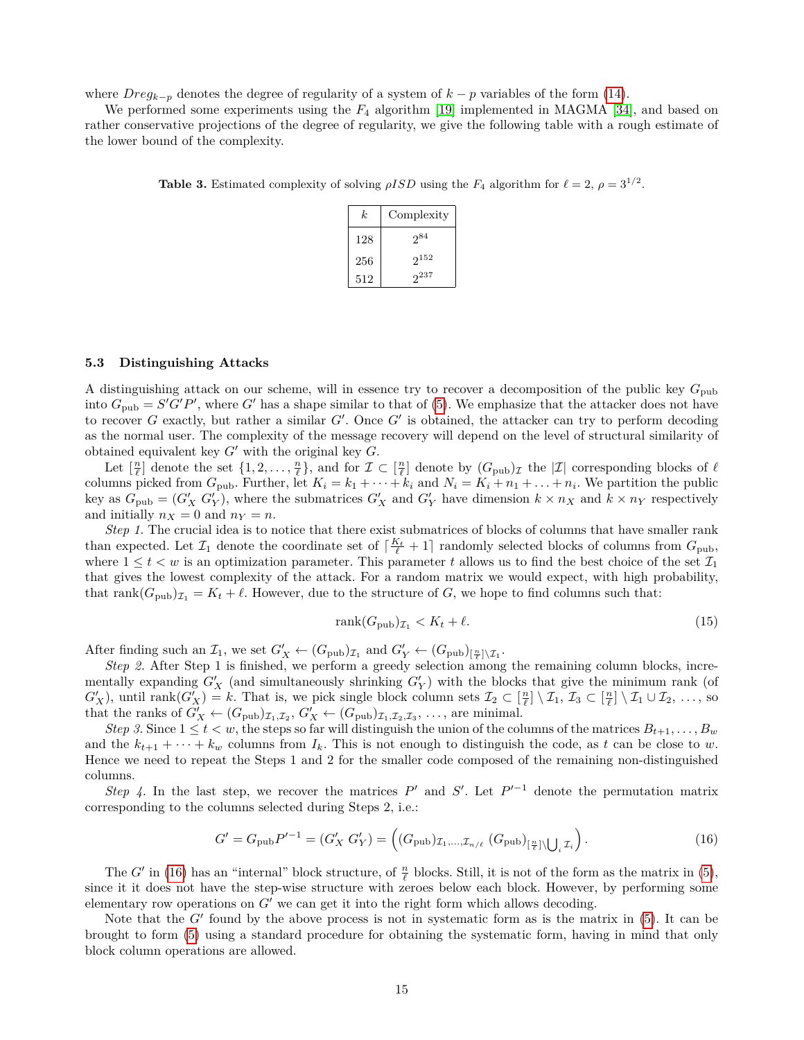<span id="page-14-2"></span>where  $Dreg_{k-p}$  denotes the degree of regularity of a system of  $k-p$  variables of the form [\(14\)](#page-13-2).

We performed some experiments using the *F*<sup>4</sup> algorithm [\[19\]](#page-20-23) implemented in MAGMA [\[34\]](#page-20-24), and based on rather conservative projections of the degree of regularity, we give the following table with a rough estimate of the lower bound of the complexity.

| k.  | Complexity |
|-----|------------|
| 128 | $2^{84}$   |
| 256 | $2^{152}$  |
| 512 | $2^{237}$  |

**Table 3.** Estimated complexity of solving  $\rho ISD$  using the  $F_4$  algorithm for  $\ell = 2$ ,  $\rho = 3^{1/2}$ .

#### <span id="page-14-0"></span>**5.3 Distinguishing Attacks**

A distinguishing attack on our scheme, will in essence try to recover a decomposition of the public key  $G_{\text{pub}}$ into  $G_{\text{pub}} = S' G' P'$ , where G' has a shape similar to that of [\(5\)](#page-7-2). We emphasize that the attacker does not have to recover  $G$  exactly, but rather a similar  $G'$ . Once  $G'$  is obtained, the attacker can try to perform decoding as the normal user. The complexity of the message recovery will depend on the level of structural similarity of obtained equivalent key  $G'$  with the original key  $G$ .

Let  $\left[\frac{n}{\ell}\right]$  denote the set  $\{1, 2, \ldots, \frac{n}{\ell}\}\$ , and for  $\mathcal{I} \subset \left[\frac{n}{\ell}\right]$  denote by  $(G_{\text{pub}})_{\mathcal{I}}$  the  $|\mathcal{I}|$  corresponding blocks of  $\ell$ columns picked from  $G_{\text{pub}}$ . Further, let  $K_i = k_1 + \cdots + k_i$  and  $N_i = K_i + n_1 + \ldots + n_i$ . We partition the public key as  $G_{\text{pub}} = (G'_X \ G'_Y)$ , where the submatrices  $G'_X$  and  $G'_Y$  have dimension  $k \times n_X$  and  $k \times n_Y$  respectively and initially  $n_X = 0$  and  $n_Y = n$ .

*Step 1.* The crucial idea is to notice that there exist submatrices of blocks of columns that have smaller rank than expected. Let  $\mathcal{I}_1$  denote the coordinate set of  $\lceil \frac{K_t}{\ell} + 1 \rceil$  randomly selected blocks of columns from  $G_{\text{pub}}$ , where  $1 \leq t \leq w$  is an optimization parameter. This parameter t allows us to find the best choice of the set  $\mathcal{I}_1$ that gives the lowest complexity of the attack. For a random matrix we would expect, with high probability, that  $rank(G_{pub})_{\mathcal{I}_{1}} = K_{t} + \ell$ . However, due to the structure of *G*, we hope to find columns such that:

$$
rank(G_{pub})_{\mathcal{I}_1} < K_t + \ell. \tag{15}
$$

After finding such an  $\mathcal{I}_1$ , we set  $G'_X \leftarrow (G_{\text{pub}})_{\mathcal{I}_1}$  and  $G'_Y \leftarrow (G_{\text{pub}})_{\lfloor \frac{n}{\ell} \rfloor \setminus \mathcal{I}_1}$ .

*Step 2.* After Step 1 is finished, we perform a greedy selection among the remaining column blocks, incrementally expanding  $G'_{X}$  (and simultaneously shrinking  $G'_{Y}$ ) with the blocks that give the minimum rank (of  $G'_X$ ), until rank $(G'_X) = k$ . That is, we pick single block column sets  $\mathcal{I}_2 \subset \left[\frac{n}{\ell}\right] \setminus \mathcal{I}_1$ ,  $\mathcal{I}_3 \subset \left[\frac{n}{\ell}\right] \setminus \mathcal{I}_1 \cup \mathcal{I}_2$ , *...*, so that the ranks of  $G'_X \leftarrow (G_{pub})_{\mathcal{I}_1, \mathcal{I}_2, G'_X} \leftarrow (G_{pub})_{\mathcal{I}_1, \mathcal{I}_2, \mathcal{I}_3}, \ldots$ , are minimal.

*Step 3.* Since  $1 \le t < w$ , the steps so far will distinguish the union of the columns of the matrices  $B_{t+1}, \ldots, B_w$ and the  $k_{t+1} + \cdots + k_w$  columns from  $I_k$ . This is not enough to distinguish the code, as t can be close to w. Hence we need to repeat the Steps 1 and 2 for the smaller code composed of the remaining non-distinguished columns.

*Step 4*. In the last step, we recover the matrices  $P'$  and  $S'$ . Let  $P'^{-1}$  denote the permutation matrix corresponding to the columns selected during Steps 2, i.e.:

<span id="page-14-1"></span>
$$
G' = G_{\text{pub}} P'^{-1} = (G'_X \ G'_Y) = ((G_{\text{pub}})_{\mathcal{I}_1, \dots, \mathcal{I}_{n/\ell}} \ (G_{\text{pub}})_{\left[\frac{n}{\ell}\right] \setminus \bigcup_i \mathcal{I}_i}\ ).
$$
\n
$$
(16)
$$

The *G'* in [\(16\)](#page-14-1) has an "internal" block structure, of  $\frac{n}{\ell}$  blocks. Still, it is not of the form as the matrix in [\(5\)](#page-7-2), since it it does not have the step-wise structure with zeroes below each block. However, by performing some elementary row operations on  $G'$  we can get it into the right form which allows decoding.

Note that the  $G'$  found by the above process is not in systematic form as is the matrix in  $(5)$ . It can be brought to form [\(5\)](#page-7-2) using a standard procedure for obtaining the systematic form, having in mind that only block column operations are allowed.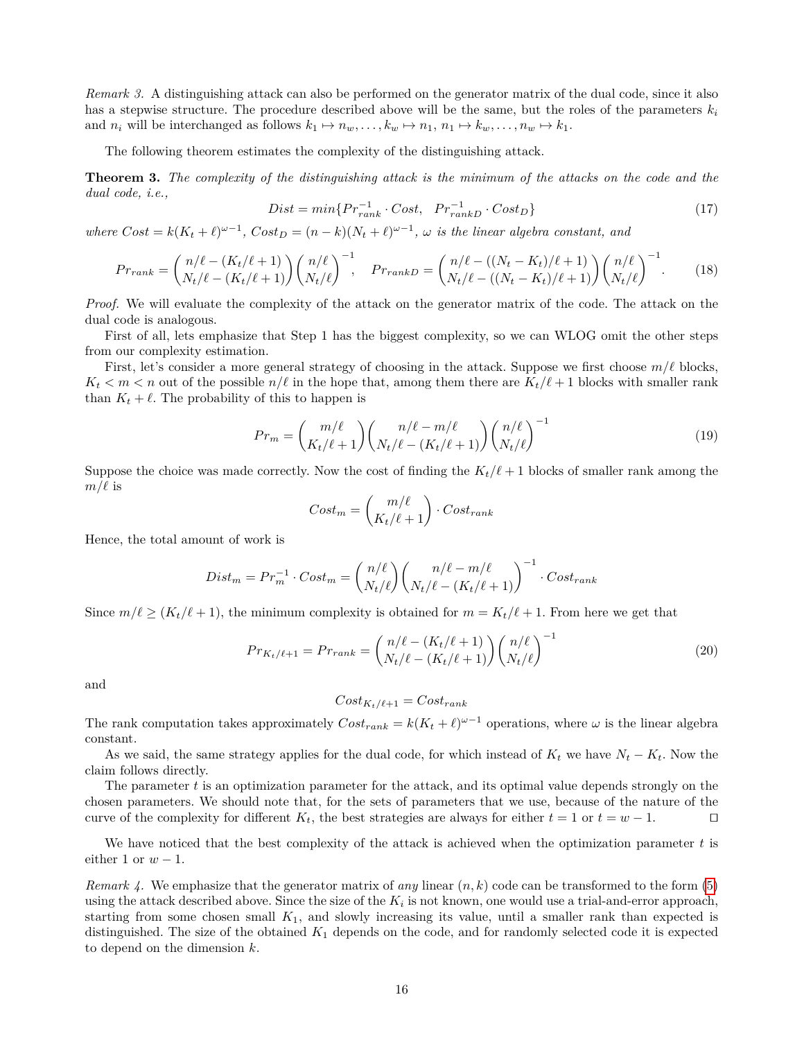*Remark 3.* A distinguishing attack can also be performed on the generator matrix of the dual code, since it also has a stepwise structure. The procedure described above will be the same, but the roles of the parameters *k<sup>i</sup>* and  $n_i$  will be interchanged as follows  $k_1 \mapsto n_w, \ldots, k_w \mapsto n_1, n_1 \mapsto k_w, \ldots, n_w \mapsto k_1$ .

The following theorem estimates the complexity of the distinguishing attack.

<span id="page-15-0"></span>**Theorem 3.** *The complexity of the distinguishing attack is the minimum of the attacks on the code and the dual code, i.e.,*

$$
Dist = min\{Pr_{rank}^{-1} \cdot Cost, \ Pr_{rankD}^{-1} \cdot Cost_D\} \tag{17}
$$

where  $Cost = k(K_t + \ell)^{\omega - 1}$ ,  $Cost_D = (n - k)(N_t + \ell)^{\omega - 1}$ ,  $\omega$  is the linear algebra constant, and

<span id="page-15-1"></span>
$$
Pr_{rank} = {n/\ell - (K_t/\ell + 1) \choose N_t/\ell - (K_t/\ell + 1)} {n/\ell \choose N_t/\ell}^{-1}, \quad Pr_{rankD} = {n/\ell - ((N_t - K_t)/\ell + 1) \choose N_t/\ell - ((N_t - K_t)/\ell + 1)} {n/\ell \choose N_t/\ell}^{-1}.
$$
 (18)

*Proof.* We will evaluate the complexity of the attack on the generator matrix of the code. The attack on the dual code is analogous.

First of all, lets emphasize that Step 1 has the biggest complexity, so we can WLOG omit the other steps from our complexity estimation.

First, let's consider a more general strategy of choosing in the attack. Suppose we first choose  $m/\ell$  blocks,  $K_t < m < n$  out of the possible  $n/\ell$  in the hope that, among them there are  $K_t/\ell + 1$  blocks with smaller rank than  $K_t + \ell$ . The probability of this to happen is

$$
Pr_m = {m/\ell \choose K_t/\ell+1} {n/\ell-m/\ell \choose N_t/\ell - (K_t/\ell+1)} {n/\ell \choose N_t/\ell}^{-1}
$$
\n(19)

Suppose the choice was made correctly. Now the cost of finding the  $K_t/\ell+1$  blocks of smaller rank among the  $m/\ell$  is

$$
Cost_m = {m/\ell \choose K_t/\ell+1} \cdot Cost_{rank}
$$

Hence, the total amount of work is

$$
Dist_m = Pr_m^{-1} \cdot Cost_m = {n/\ell \choose N_t/\ell} {n/\ell - m/\ell \choose N_t/\ell - (K_t/\ell + 1)}^{-1} \cdot Cost_{rank}
$$

Since  $m/\ell \geq (K_t/\ell + 1)$ , the minimum complexity is obtained for  $m = K_t/\ell + 1$ . From here we get that

$$
Pr_{K_t/\ell+1} = Pr_{rank} = \binom{n/\ell - (K_t/\ell+1)}{N_t/\ell - (K_t/\ell+1)} \binom{n/\ell}{N_t/\ell}^{-1}
$$
\n(20)

and

$$
Cost_{K_t/\ell+1} = Cost_{rank}
$$

The rank computation takes approximately  $Cost_{rank} = k(K_t + \ell)^{\omega-1}$  operations, where  $\omega$  is the linear algebra constant.

As we said, the same strategy applies for the dual code, for which instead of  $K_t$  we have  $N_t - K_t$ . Now the claim follows directly.

The parameter *t* is an optimization parameter for the attack, and its optimal value depends strongly on the chosen parameters. We should note that, for the sets of parameters that we use, because of the nature of the curve of the complexity for different  $K_t$ , the best strategies are always for either  $t = 1$  or  $t = w - 1$ .

We have noticed that the best complexity of the attack is achieved when the optimization parameter *t* is either 1 or  $w - 1$ .

*Remark 4.* We emphasize that the generator matrix of *any* linear (*n, k*) code can be transformed to the form [\(5\)](#page-7-2) using the attack described above. Since the size of the  $K_i$  is not known, one would use a trial-and-error approach, starting from some chosen small *K*1, and slowly increasing its value, until a smaller rank than expected is distinguished. The size of the obtained *K*<sup>1</sup> depends on the code, and for randomly selected code it is expected to depend on the dimension *k*.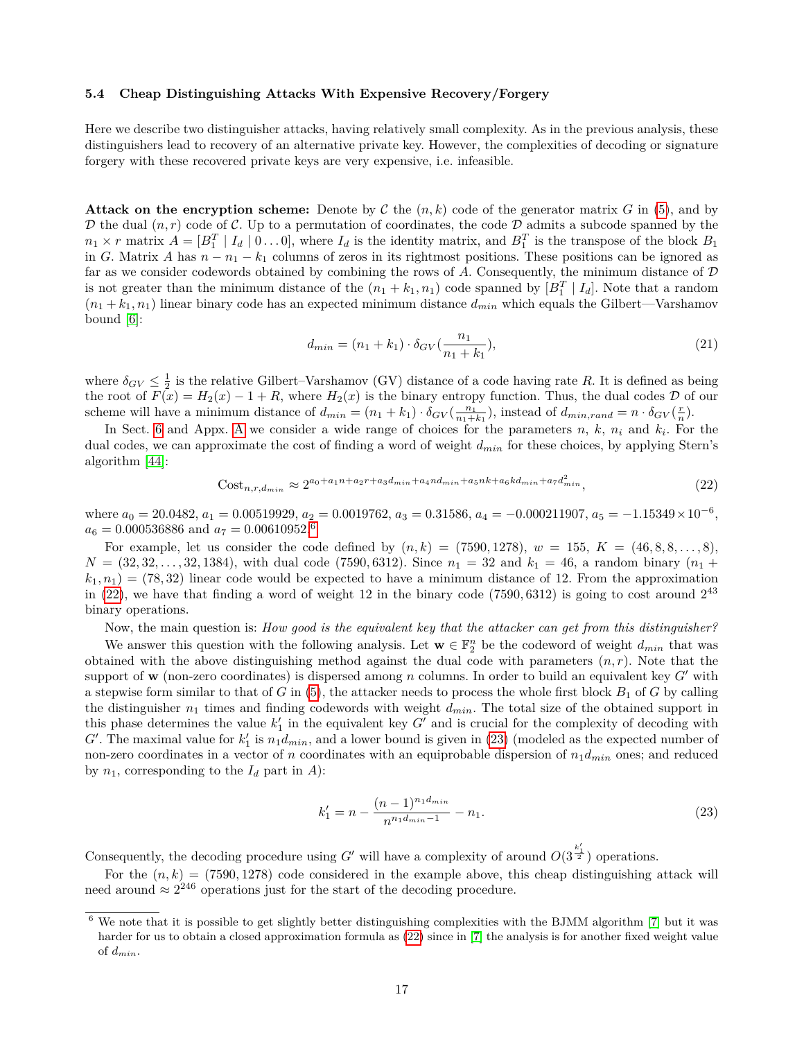### <span id="page-16-4"></span><span id="page-16-0"></span>**5.4 Cheap Distinguishing Attacks With Expensive Recovery/Forgery**

Here we describe two distinguisher attacks, having relatively small complexity. As in the previous analysis, these distinguishers lead to recovery of an alternative private key. However, the complexities of decoding or signature forgery with these recovered private keys are very expensive, i.e. infeasible.

**Attack on the encryption scheme:** Denote by C the  $(n, k)$  code of the generator matrix G in [\(5\)](#page-7-2), and by  $\mathcal D$  the dual  $(n,r)$  code of C. Up to a permutation of coordinates, the code  $\mathcal D$  admits a subcode spanned by the  $n_1 \times r$  matrix  $A = [B_1^T \mid I_d \mid 0 \dots 0]$ , where  $I_d$  is the identity matrix, and  $B_1^T$  is the transpose of the block  $B_1$ in *G*. Matrix *A* has  $n - n_1 - k_1$  columns of zeros in its rightmost positions. These positions can be ignored as far as we consider codewords obtained by combining the rows of *A*. Consequently, the minimum distance of D is not greater than the minimum distance of the  $(n_1 + k_1, n_1)$  code spanned by  $[B_1^T | I_d]$ . Note that a random  $(n_1 + k_1, n_1)$  linear binary code has an expected minimum distance  $d_{min}$  which equals the Gilbert—Varshamov bound [\[6\]](#page-19-16):

$$
d_{min} = (n_1 + k_1) \cdot \delta_{GV} \left(\frac{n_1}{n_1 + k_1}\right),\tag{21}
$$

where  $\delta_{GV} \leq \frac{1}{2}$  is the relative Gilbert–Varshamov (GV) distance of a code having rate R. It is defined as being the root of  $F(x) = H_2(x) - 1 + R$ , where  $H_2(x)$  is the binary entropy function. Thus, the dual codes  $\mathcal D$  of our scheme will have a minimum distance of  $d_{min} = (n_1 + k_1) \cdot \delta_{GV}(\frac{n_1}{n_1 + k_1})$ , instead of  $d_{min,rand} = n \cdot \delta_{GV}(\frac{r}{n})$ .

In Sect. [6](#page-17-0) and Appx. [A](#page-22-0) we consider a wide range of choices for the parameters *n*, *k*, *n<sup>i</sup>* and *k<sup>i</sup>* . For the dual codes, we can approximate the cost of finding a word of weight *dmin* for these choices, by applying Stern's algorithm [\[44\]](#page-21-0):

<span id="page-16-2"></span>
$$
Cost_{n,r,d_{min}} \approx 2^{a_0 + a_1 n + a_2 r + a_3 d_{min} + a_4 n d_{min} + a_5 n k + a_6 k d_{min} + a_7 d_{min}^2},
$$
\n
$$
(22)
$$

where  $a_0 = 20.0482$ ,  $a_1 = 0.00519929$ ,  $a_2 = 0.0019762$ ,  $a_3 = 0.31586$ ,  $a_4 = -0.000211907$ ,  $a_5 = -1.15349 \times 10^{-6}$ ,  $a_6 = 0.000536886$  $a_6 = 0.000536886$  $a_6 = 0.000536886$  and  $a_7 = 0.00610952$ .<sup>6</sup>

For example, let us consider the code defined by  $(n, k) = (7590, 1278), w = 155, K = (46, 8, 8, \ldots, 8),$  $N = (32, 32, \ldots, 32, 1384)$ , with dual code (7590, 6312). Since  $n_1 = 32$  and  $k_1 = 46$ , a random binary  $(n_1 +$  $k_1, n_1$  = (78, 32) linear code would be expected to have a minimum distance of 12. From the approximation in [\(22\)](#page-16-2), we have that finding a word of weight 12 in the binary code (7590, 6312) is going to cost around  $2^{43}$ binary operations.

Now, the main question is: *How good is the equivalent key that the attacker can get from this distinguisher?*

We answer this question with the following analysis. Let  $\mathbf{w} \in \mathbb{F}_2^n$  be the codeword of weight  $d_{min}$  that was obtained with the above distinguishing method against the dual code with parameters (*n, r*). Note that the support of **w** (non-zero coordinates) is dispersed among *n* columns. In order to build an equivalent key  $G'$  with a stepwise form similar to that of *G* in [\(5\)](#page-7-2), the attacker needs to process the whole first block *B*<sup>1</sup> of *G* by calling the distinguisher  $n_1$  times and finding codewords with weight  $d_{min}$ . The total size of the obtained support in this phase determines the value  $k'_1$  in the equivalent key  $G'$  and is crucial for the complexity of decoding with  $G'$ . The maximal value for  $k'_1$  is  $n_1d_{min}$ , and a lower bound is given in [\(23\)](#page-16-3) (modeled as the expected number of non-zero coordinates in a vector of *n* coordinates with an equiprobable dispersion of  $n_1 d_{min}$  ones; and reduced by  $n_1$ , corresponding to the  $I_d$  part in  $A$ ):

<span id="page-16-3"></span>
$$
k_1' = n - \frac{(n-1)^{n_1 d_{min}}}{n^{n_1 d_{min}-1}} - n_1.
$$
\n(23)

Consequently, the decoding procedure using *G*<sup>*i*</sup> will have a complexity of around  $O(3^{\frac{k'_1}{2}})$  operations.

For the  $(n, k) = (7590, 1278)$  code considered in the example above, this cheap distinguishing attack will need around  $\approx 2^{246}$  operations just for the start of the decoding procedure.

<span id="page-16-1"></span><sup>6</sup> We note that it is possible to get slightly better distinguishing complexities with the BJMM algorithm [\[7\]](#page-19-3) but it was harder for us to obtain a closed approximation formula as [\(22\)](#page-16-2) since in [\[7\]](#page-19-3) the analysis is for another fixed weight value of *dmin*.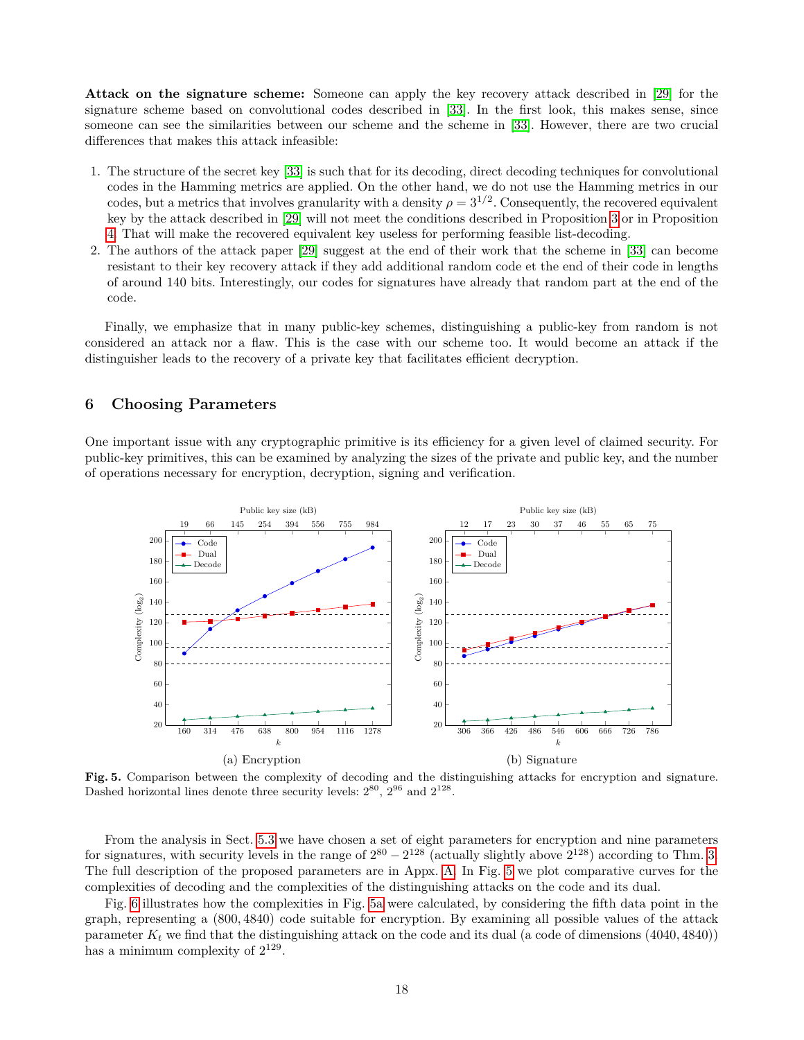<span id="page-17-4"></span>**Attack on the signature scheme:** Someone can apply the key recovery attack described in [\[29\]](#page-20-18) for the signature scheme based on convolutional codes described in [\[33\]](#page-20-17). In the first look, this makes sense, since someone can see the similarities between our scheme and the scheme in [\[33\]](#page-20-17). However, there are two crucial differences that makes this attack infeasible:

- 1. The structure of the secret key [\[33\]](#page-20-17) is such that for its decoding, direct decoding techniques for convolutional codes in the Hamming metrics are applied. On the other hand, we do not use the Hamming metrics in our codes, but a metrics that involves granularity with a density  $\rho = 3^{1/2}$ . Consequently, the recovered equivalent key by the attack described in [\[29\]](#page-20-18) will not meet the conditions described in Proposition [3](#page-9-3) or in Proposition [4.](#page-10-2) That will make the recovered equivalent key useless for performing feasible list-decoding.
- 2. The authors of the attack paper [\[29\]](#page-20-18) suggest at the end of their work that the scheme in [\[33\]](#page-20-17) can become resistant to their key recovery attack if they add additional random code et the end of their code in lengths of around 140 bits. Interestingly, our codes for signatures have already that random part at the end of the code.

Finally, we emphasize that in many public-key schemes, distinguishing a public-key from random is not considered an attack nor a flaw. This is the case with our scheme too. It would become an attack if the distinguisher leads to the recovery of a private key that facilitates efficient decryption.

## <span id="page-17-0"></span>**6 Choosing Parameters**

One important issue with any cryptographic primitive is its efficiency for a given level of claimed security. For public-key primitives, this can be examined by analyzing the sizes of the private and public key, and the number of operations necessary for encryption, decryption, signing and verification.



<span id="page-17-3"></span><span id="page-17-2"></span><span id="page-17-1"></span>**Fig. 5.** Comparison between the complexity of decoding and the distinguishing attacks for encryption and signature. Dashed horizontal lines denote three security levels:  $2^{80}$ ,  $2^{96}$  and  $2^{128}$ .

From the analysis in Sect. [5.3](#page-14-0) we have chosen a set of eight parameters for encryption and nine parameters for signatures, with security levels in the range of  $2^{80} - 2^{128}$  (actually slightly above  $2^{128}$ ) according to Thm. [3.](#page-15-0) The full description of the proposed parameters are in Appx. [A.](#page-22-0) In Fig. [5](#page-17-1) we plot comparative curves for the complexities of decoding and the complexities of the distinguishing attacks on the code and its dual.

Fig. [6](#page-18-1) illustrates how the complexities in Fig. [5a](#page-17-2) were calculated, by considering the fifth data point in the graph, representing a (800*,* 4840) code suitable for encryption. By examining all possible values of the attack parameter *K<sup>t</sup>* we find that the distinguishing attack on the code and its dual (a code of dimensions (4040*,* 4840)) has a minimum complexity of  $2^{129}$ .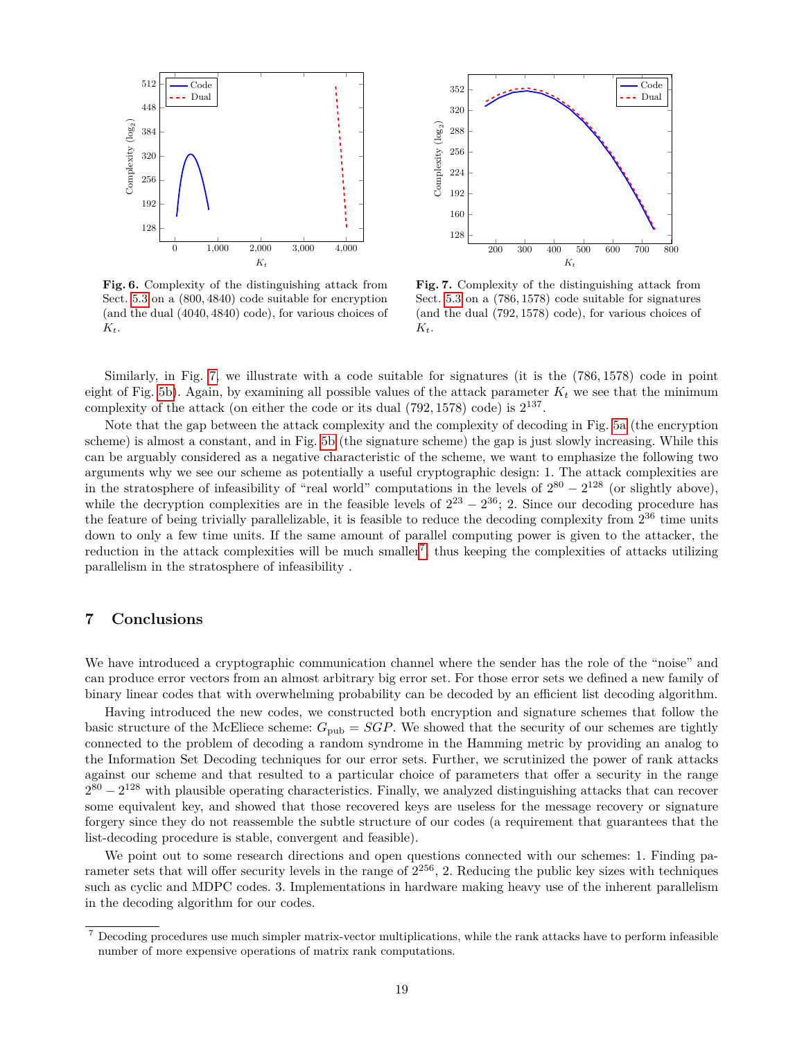

<span id="page-18-1"></span>**Fig. 6.** Complexity of the distinguishing attack from Sect. [5.3](#page-14-0) on a (800*,* 4840) code suitable for encryption (and the dual (4040*,* 4840) code), for various choices of *Kt*.



<span id="page-18-2"></span>**Fig. 7.** Complexity of the distinguishing attack from Sect. [5.3](#page-14-0) on a (786*,* 1578) code suitable for signatures (and the dual (792*,* 1578) code), for various choices of *Kt*.

Similarly, in Fig. [7,](#page-18-2) we illustrate with a code suitable for signatures (it is the (786*,* 1578) code in point eight of Fig. [5b\)](#page-17-3). Again, by examining all possible values of the attack parameter  $K_t$  we see that the minimum complexity of the attack (on either the code or its dual (792*,* 1578) code) is 2<sup>137</sup> .

Note that the gap between the attack complexity and the complexity of decoding in Fig. [5a](#page-17-2) (the encryption scheme) is almost a constant, and in Fig. [5b](#page-17-3) (the signature scheme) the gap is just slowly increasing. While this can be arguably considered as a negative characteristic of the scheme, we want to emphasize the following two arguments why we see our scheme as potentially a useful cryptographic design: 1. The attack complexities are in the stratosphere of infeasibility of "real world" computations in the levels of  $2^{80} - 2^{128}$  (or slightly above), while the decryption complexities are in the feasible levels of  $2^{23} - 2^{36}$ ; 2. Since our decoding procedure has the feature of being trivially parallelizable, it is feasible to reduce the decoding complexity from  $2^{36}$  time units down to only a few time units. If the same amount of parallel computing power is given to the attacker, the reduction in the attack complexities will be much smaller<sup>[7](#page-18-3)</sup>, thus keeping the complexities of attacks utilizing parallelism in the stratosphere of infeasibility .

## <span id="page-18-0"></span>**7 Conclusions**

We have introduced a cryptographic communication channel where the sender has the role of the "noise" and can produce error vectors from an almost arbitrary big error set. For those error sets we defined a new family of binary linear codes that with overwhelming probability can be decoded by an efficient list decoding algorithm.

Having introduced the new codes, we constructed both encryption and signature schemes that follow the basic structure of the McEliece scheme:  $G_{\text{pub}} = SGP$ . We showed that the security of our schemes are tightly connected to the problem of decoding a random syndrome in the Hamming metric by providing an analog to the Information Set Decoding techniques for our error sets. Further, we scrutinized the power of rank attacks against our scheme and that resulted to a particular choice of parameters that offer a security in the range  $2^{80} - 2^{128}$  with plausible operating characteristics. Finally, we analyzed distinguishing attacks that can recover some equivalent key, and showed that those recovered keys are useless for the message recovery or signature forgery since they do not reassemble the subtle structure of our codes (a requirement that guarantees that the list-decoding procedure is stable, convergent and feasible).

We point out to some research directions and open questions connected with our schemes: 1. Finding parameter sets that will offer security levels in the range of 2<sup>256</sup>, 2. Reducing the public key sizes with techniques such as cyclic and MDPC codes. 3. Implementations in hardware making heavy use of the inherent parallelism in the decoding algorithm for our codes.

<span id="page-18-3"></span> $7$  Decoding procedures use much simpler matrix-vector multiplications, while the rank attacks have to perform infeasible number of more expensive operations of matrix rank computations.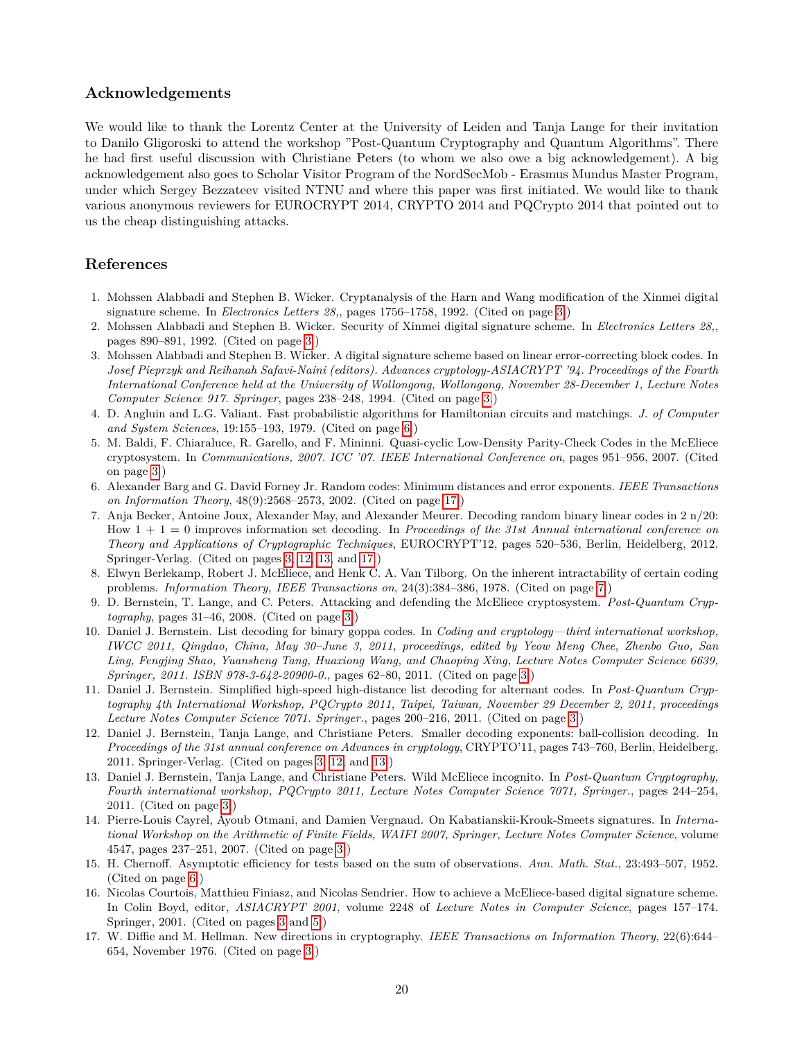## **Acknowledgements**

We would like to thank the Lorentz Center at the University of Leiden and Tanja Lange for their invitation to Danilo Gligoroski to attend the workshop "Post-Quantum Cryptography and Quantum Algorithms". There he had first useful discussion with Christiane Peters (to whom we also owe a big acknowledgement). A big acknowledgement also goes to Scholar Visitor Program of the NordSecMob - Erasmus Mundus Master Program, under which Sergey Bezzateev visited NTNU and where this paper was first initiated. We would like to thank various anonymous reviewers for EUROCRYPT 2014, CRYPTO 2014 and PQCrypto 2014 that pointed out to us the cheap distinguishing attacks.

## **References**

- <span id="page-19-10"></span>1. Mohssen Alabbadi and Stephen B. Wicker. Cryptanalysis of the Harn and Wang modification of the Xinmei digital signature scheme. In *Electronics Letters 28,*, pages 1756–1758, 1992. (Cited on page [3.](#page-2-5))
- <span id="page-19-9"></span>2. Mohssen Alabbadi and Stephen B. Wicker. Security of Xinmei digital signature scheme. In *Electronics Letters 28,*, pages 890–891, 1992. (Cited on page [3.](#page-2-5))
- <span id="page-19-8"></span>3. Mohssen Alabbadi and Stephen B. Wicker. A digital signature scheme based on linear error-correcting block codes. In *Josef Pieprzyk and Reihanah Safavi-Naini (editors). Advances cryptology-ASIACRYPT '94. Proceedings of the Fourth International Conference held at the University of Wollongong, Wollongong, November 28-December 1, Lecture Notes Computer Science 917. Springer*, pages 238–248, 1994. (Cited on page [3.](#page-2-5))
- <span id="page-19-13"></span>4. D. Angluin and L.G. Valiant. Fast probabilistic algorithms for Hamiltonian circuits and matchings. *J. of Computer and System Sciences*, 19:155–193, 1979. (Cited on page [6.](#page-5-3))
- <span id="page-19-4"></span>5. M. Baldi, F. Chiaraluce, R. Garello, and F. Mininni. Quasi-cyclic Low-Density Parity-Check Codes in the McEliece cryptosystem. In *Communications, 2007. ICC '07. IEEE International Conference on*, pages 951–956, 2007. (Cited on page [3.](#page-2-5))
- <span id="page-19-16"></span>6. Alexander Barg and G. David Forney Jr. Random codes: Minimum distances and error exponents. *IEEE Transactions on Information Theory*, 48(9):2568–2573, 2002. (Cited on page [17.](#page-16-4))
- <span id="page-19-3"></span>7. Anja Becker, Antoine Joux, Alexander May, and Alexander Meurer. Decoding random binary linear codes in 2 n/20: How 1 + 1 = 0 improves information set decoding. In *Proceedings of the 31st Annual international conference on Theory and Applications of Cryptographic Techniques*, EUROCRYPT'12, pages 520–536, Berlin, Heidelberg, 2012. Springer-Verlag. (Cited on pages [3,](#page-2-5) [12,](#page-11-4) [13,](#page-12-2) and [17.](#page-16-4))
- <span id="page-19-15"></span>8. Elwyn Berlekamp, Robert J. McEliece, and Henk C. A. Van Tilborg. On the inherent intractability of certain coding problems. *Information Theory, IEEE Transactions on*, 24(3):384–386, 1978. (Cited on page [7.](#page-6-1))
- <span id="page-19-1"></span>9. D. Bernstein, T. Lange, and C. Peters. Attacking and defending the McEliece cryptosystem. *Post-Quantum Cryptography*, pages 31–46, 2008. (Cited on page [3.](#page-2-5))
- <span id="page-19-5"></span>10. Daniel J. Bernstein. List decoding for binary goppa codes. In *Coding and cryptology—third international workshop, IWCC 2011, Qingdao, China, May 30–June 3, 2011, proceedings, edited by Yeow Meng Chee, Zhenbo Guo, San Ling, Fengjing Shao, Yuansheng Tang, Huaxiong Wang, and Chaoping Xing, Lecture Notes Computer Science 6639, Springer, 2011. ISBN 978-3-642-20900-0.*, pages 62–80, 2011. (Cited on page [3.](#page-2-5))
- <span id="page-19-6"></span>11. Daniel J. Bernstein. Simplified high-speed high-distance list decoding for alternant codes. In *Post-Quantum Cryptography 4th International Workshop, PQCrypto 2011, Taipei, Taiwan, November 29 December 2, 2011, proceedings Lecture Notes Computer Science 7071. Springer.*, pages 200–216, 2011. (Cited on page [3.](#page-2-5))
- <span id="page-19-2"></span>12. Daniel J. Bernstein, Tanja Lange, and Christiane Peters. Smaller decoding exponents: ball-collision decoding. In *Proceedings of the 31st annual conference on Advances in cryptology*, CRYPTO'11, pages 743–760, Berlin, Heidelberg, 2011. Springer-Verlag. (Cited on pages [3,](#page-2-5) [12,](#page-11-4) and [13.](#page-12-2))
- <span id="page-19-7"></span>13. Daniel J. Bernstein, Tanja Lange, and Christiane Peters. Wild McEliece incognito. In *Post-Quantum Cryptography, Fourth international workshop, PQCrypto 2011, Lecture Notes Computer Science 7071, Springer.*, pages 244–254, 2011. (Cited on page [3.](#page-2-5))
- <span id="page-19-11"></span>14. Pierre-Louis Cayrel, Ayoub Otmani, and Damien Vergnaud. On Kabatianskii-Krouk-Smeets signatures. In *International Workshop on the Arithmetic of Finite Fields, WAIFI 2007, Springer, Lecture Notes Computer Science*, volume 4547, pages 237–251, 2007. (Cited on page [3.](#page-2-5))
- <span id="page-19-14"></span>15. H. Chernoff. Asymptotic efficiency for tests based on the sum of observations. *Ann. Math. Stat.*, 23:493–507, 1952. (Cited on page [6.](#page-5-3))
- <span id="page-19-12"></span>16. Nicolas Courtois, Matthieu Finiasz, and Nicolas Sendrier. How to achieve a McEliece-based digital signature scheme. In Colin Boyd, editor, *ASIACRYPT 2001*, volume 2248 of *Lecture Notes in Computer Science*, pages 157–174. Springer, 2001. (Cited on pages [3](#page-2-5) and [5.](#page-4-3))
- <span id="page-19-0"></span>17. W. Diffie and M. Hellman. New directions in cryptography. *IEEE Transactions on Information Theory*, 22(6):644– 654, November 1976. (Cited on page [3.](#page-2-5))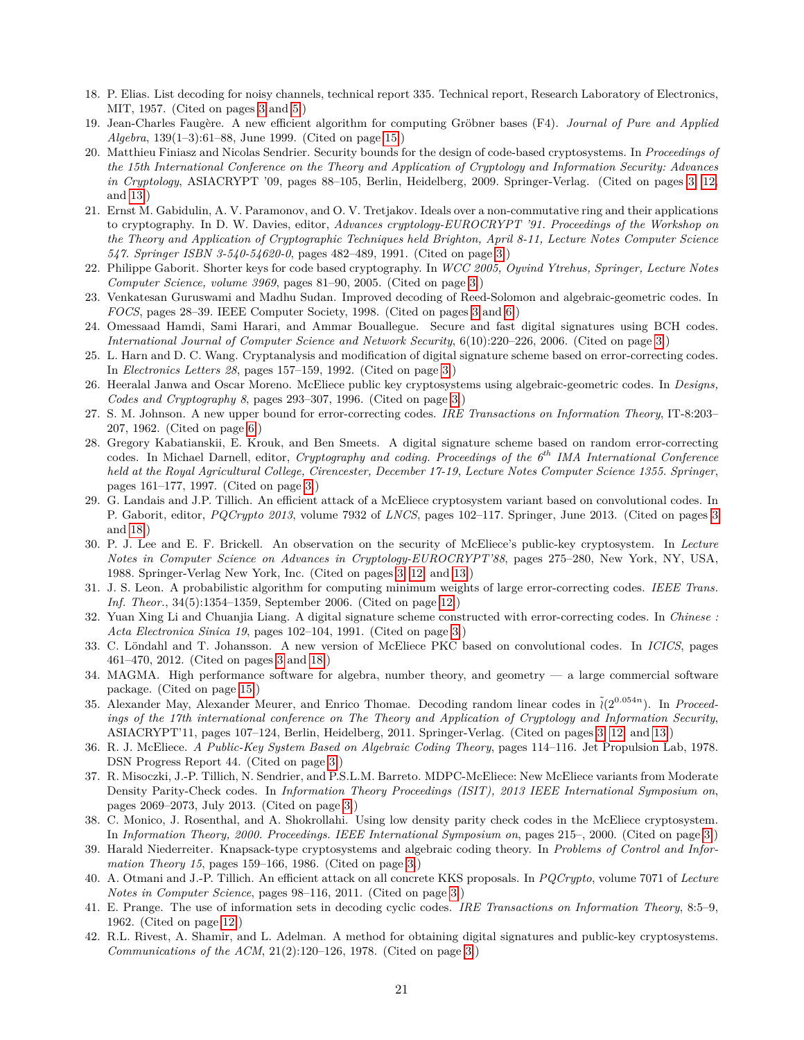- <span id="page-20-11"></span>18. P. Elias. List decoding for noisy channels, technical report 335. Technical report, Research Laboratory of Electronics, MIT, 1957. (Cited on pages [3](#page-2-5) and [5.](#page-4-3))
- <span id="page-20-23"></span>19. Jean-Charles Faugère. A new efficient algorithm for computing Gröbner bases (F4). *Journal of Pure and Applied Algebra*, 139(1–3):61–88, June 1999. (Cited on page [15.](#page-14-2))
- <span id="page-20-3"></span>20. Matthieu Finiasz and Nicolas Sendrier. Security bounds for the design of code-based cryptosystems. In *Proceedings of the 15th International Conference on the Theory and Application of Cryptology and Information Security: Advances in Cryptology*, ASIACRYPT '09, pages 88–105, Berlin, Heidelberg, 2009. Springer-Verlag. (Cited on pages [3,](#page-2-5) [12,](#page-11-4) and [13.](#page-12-2))
- <span id="page-20-6"></span>21. Ernst M. Gabidulin, A. V. Paramonov, and O. V. Tretjakov. Ideals over a non-commutative ring and their applications to cryptography. In D. W. Davies, editor, *Advances cryptology-EUROCRYPT '91. Proceedings of the Workshop on the Theory and Application of Cryptographic Techniques held Brighton, April 8-11, Lecture Notes Computer Science 547. Springer ISBN 3-540-54620-0*, pages 482–489, 1991. (Cited on page [3.](#page-2-5))
- <span id="page-20-8"></span>22. Philippe Gaborit. Shorter keys for code based cryptography. In *WCC 2005, Oyvind Ytrehus, Springer, Lecture Notes Computer Science, volume 3969*, pages 81–90, 2005. (Cited on page [3.](#page-2-5))
- <span id="page-20-12"></span>23. Venkatesan Guruswami and Madhu Sudan. Improved decoding of Reed-Solomon and algebraic-geometric codes. In *FOCS*, pages 28–39. IEEE Computer Society, 1998. (Cited on pages [3](#page-2-5) and [6.](#page-5-3))
- <span id="page-20-16"></span>24. Omessaad Hamdi, Sami Harari, and Ammar Bouallegue. Secure and fast digital signatures using BCH codes. *International Journal of Computer Science and Network Security*, 6(10):220–226, 2006. (Cited on page [3.](#page-2-5))
- <span id="page-20-14"></span>25. L. Harn and D. C. Wang. Cryptanalysis and modification of digital signature scheme based on error-correcting codes. In *Electronics Letters 28*, pages 157–159, 1992. (Cited on page [3.](#page-2-5))
- <span id="page-20-7"></span>26. Heeralal Janwa and Oscar Moreno. McEliece public key cryptosystems using algebraic-geometric codes. In *Designs, Codes and Cryptography 8*, pages 293–307, 1996. (Cited on page [3.](#page-2-5))
- <span id="page-20-20"></span>27. S. M. Johnson. A new upper bound for error-correcting codes. *IRE Transactions on Information Theory*, IT-8:203– 207, 1962. (Cited on page [6.](#page-5-3))
- <span id="page-20-15"></span>28. Gregory Kabatianskii, E. Krouk, and Ben Smeets. A digital signature scheme based on random error-correcting codes. In Michael Darnell, editor, *Cryptography and coding. Proceedings of the 6th IMA International Conference held at the Royal Agricultural College, Cirencester, December 17-19, Lecture Notes Computer Science 1355. Springer*, pages 161–177, 1997. (Cited on page [3.](#page-2-5))
- <span id="page-20-18"></span>29. G. Landais and J.P. Tillich. An efficient attack of a McEliece cryptosystem variant based on convolutional codes. In P. Gaborit, editor, *PQCrypto 2013*, volume 7932 of *LNCS*, pages 102–117. Springer, June 2013. (Cited on pages [3](#page-2-5) and [18.](#page-17-4))
- <span id="page-20-2"></span>30. P. J. Lee and E. F. Brickell. An observation on the security of McEliece's public-key cryptosystem. In *Lecture Notes in Computer Science on Advances in Cryptology-EUROCRYPT'88*, pages 275–280, New York, NY, USA, 1988. Springer-Verlag New York, Inc. (Cited on pages [3,](#page-2-5) [12,](#page-11-4) and [13.](#page-12-2))
- <span id="page-20-22"></span>31. J. S. Leon. A probabilistic algorithm for computing minimum weights of large error-correcting codes. *IEEE Trans. Inf. Theor.*, 34(5):1354–1359, September 2006. (Cited on page [12.](#page-11-4))
- <span id="page-20-13"></span>32. Yuan Xing Li and Chuanjia Liang. A digital signature scheme constructed with error-correcting codes. In *Chinese : Acta Electronica Sinica 19*, pages 102–104, 1991. (Cited on page [3.](#page-2-5))
- <span id="page-20-17"></span>33. C. L¨ondahl and T. Johansson. A new version of McEliece PKC based on convolutional codes. In *ICICS*, pages 461–470, 2012. (Cited on pages [3](#page-2-5) and [18.](#page-17-4))
- <span id="page-20-24"></span>34. MAGMA. High performance software for algebra, number theory, and geometry — a large commercial software package. (Cited on page [15.](#page-14-2))
- <span id="page-20-4"></span>35. Alexander May, Alexander Meurer, and Enrico Thomae. Decoding random linear codes in  $\tilde{l}(2^{0.054n})$ . In *Proceedings of the 17th international conference on The Theory and Application of Cryptology and Information Security*, ASIACRYPT'11, pages 107–124, Berlin, Heidelberg, 2011. Springer-Verlag. (Cited on pages [3,](#page-2-5) [12,](#page-11-4) and [13.](#page-12-2))
- <span id="page-20-0"></span>36. R. J. McEliece. *A Public-Key System Based on Algebraic Coding Theory*, pages 114–116. Jet Propulsion Lab, 1978. DSN Progress Report 44. (Cited on page [3.](#page-2-5))
- <span id="page-20-10"></span>37. R. Misoczki, J.-P. Tillich, N. Sendrier, and P.S.L.M. Barreto. MDPC-McEliece: New McEliece variants from Moderate Density Parity-Check codes. In *Information Theory Proceedings (ISIT), 2013 IEEE International Symposium on*, pages 2069–2073, July 2013. (Cited on page [3.](#page-2-5))
- <span id="page-20-9"></span>38. C. Monico, J. Rosenthal, and A. Shokrollahi. Using low density parity check codes in the McEliece cryptosystem. In *Information Theory, 2000. Proceedings. IEEE International Symposium on*, pages 215–, 2000. (Cited on page [3.](#page-2-5))
- <span id="page-20-5"></span>39. Harald Niederreiter. Knapsack-type cryptosystems and algebraic coding theory. In *Problems of Control and Information Theory 15*, pages 159–166, 1986. (Cited on page [3.](#page-2-5))
- <span id="page-20-19"></span>40. A. Otmani and J.-P. Tillich. An efficient attack on all concrete KKS proposals. In *PQCrypto*, volume 7071 of *Lecture Notes in Computer Science*, pages 98–116, 2011. (Cited on page [3.](#page-2-5))
- <span id="page-20-21"></span>41. E. Prange. The use of information sets in decoding cyclic codes. *IRE Transactions on Information Theory*, 8:5–9, 1962. (Cited on page [12.](#page-11-4))
- <span id="page-20-1"></span>42. R.L. Rivest, A. Shamir, and L. Adelman. A method for obtaining digital signatures and public-key cryptosystems. *Communications of the ACM*, 21(2):120–126, 1978. (Cited on page [3.](#page-2-5))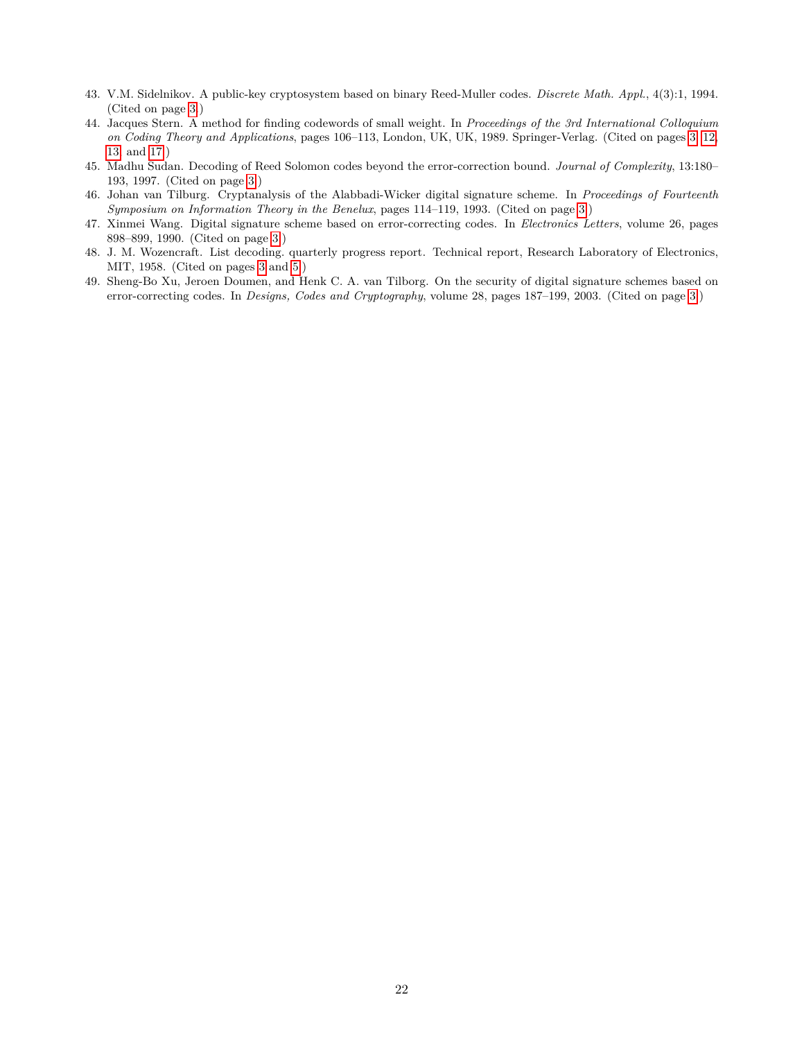- <span id="page-21-1"></span>43. V.M. Sidelnikov. A public-key cryptosystem based on binary Reed-Muller codes. *Discrete Math. Appl.*, 4(3):1, 1994. (Cited on page [3.](#page-2-5))
- <span id="page-21-0"></span>44. Jacques Stern. A method for finding codewords of small weight. In *Proceedings of the 3rd International Colloquium on Coding Theory and Applications*, pages 106–113, London, UK, UK, 1989. Springer-Verlag. (Cited on pages [3,](#page-2-5) [12,](#page-11-4) [13,](#page-12-2) and [17.](#page-16-4))
- <span id="page-21-3"></span>45. Madhu Sudan. Decoding of Reed Solomon codes beyond the error-correction bound. *Journal of Complexity*, 13:180– 193, 1997. (Cited on page [3.](#page-2-5))
- <span id="page-21-5"></span>46. Johan van Tilburg. Cryptanalysis of the Alabbadi-Wicker digital signature scheme. In *Proceedings of Fourteenth Symposium on Information Theory in the Benelux*, pages 114–119, 1993. (Cited on page [3.](#page-2-5))
- <span id="page-21-4"></span>47. Xinmei Wang. Digital signature scheme based on error-correcting codes. In *Electronics Letters*, volume 26, pages 898–899, 1990. (Cited on page [3.](#page-2-5))
- <span id="page-21-2"></span>48. J. M. Wozencraft. List decoding. quarterly progress report. Technical report, Research Laboratory of Electronics, MIT, 1958. (Cited on pages [3](#page-2-5) and [5.](#page-4-3))
- <span id="page-21-6"></span>49. Sheng-Bo Xu, Jeroen Doumen, and Henk C. A. van Tilborg. On the security of digital signature schemes based on error-correcting codes. In *Designs, Codes and Cryptography*, volume 28, pages 187–199, 2003. (Cited on page [3.](#page-2-5))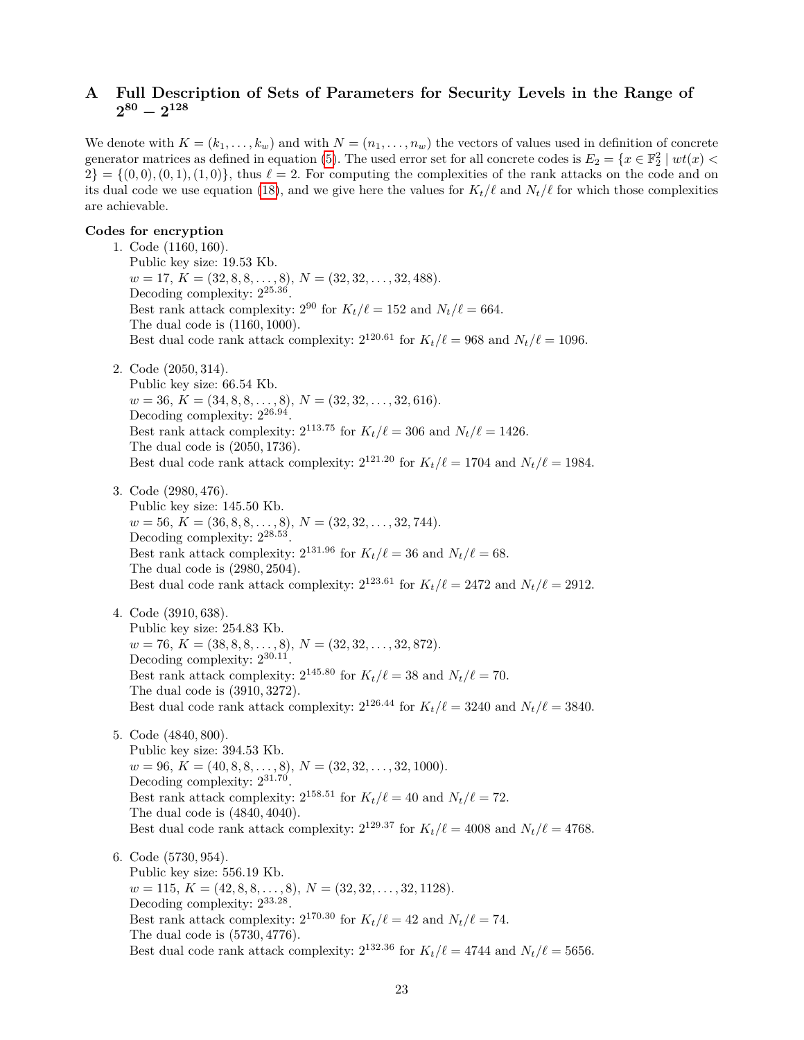## <span id="page-22-0"></span>**A Full Description of Sets of Parameters for Security Levels in the Range of**  $2^{80} - 2^{128}$

We denote with  $K = (k_1, \ldots, k_w)$  and with  $N = (n_1, \ldots, n_w)$  the vectors of values used in definition of concrete generator matrices as defined in equation [\(5\)](#page-7-2). The used error set for all concrete codes is  $E_2 = \{x \in \mathbb{F}_2^2 \mid wt(x)$  $2$ } = { $(0,0)$ ,  $(0,1)$ ,  $(1,0)$ }, thus  $\ell = 2$ . For computing the complexities of the rank attacks on the code and on its dual code we use equation [\(18\)](#page-15-1), and we give here the values for  $K_t/\ell$  and  $N_t/\ell$  for which those complexities are achievable.

#### **Codes for encryption**

1. Code (1160*,* 160). Public key size: 19.53 Kb.  $w = 17, K = (32, 8, 8, \ldots, 8), N = (32, 32, \ldots, 32, 488).$ Decoding complexity: 2<sup>25</sup>*.*<sup>36</sup> . Best rank attack complexity:  $2^{90}$  for  $K_t/\ell = 152$  and  $N_t/\ell = 664$ . The dual code is (1160*,* 1000). Best dual code rank attack complexity:  $2^{120.61}$  for  $K_t/\ell = 968$  and  $N_t/\ell = 1096$ . 2. Code (2050*,* 314). Public key size: 66.54 Kb.  $w = 36, K = (34, 8, 8, \ldots, 8), N = (32, 32, \ldots, 32, 616).$ Decoding complexity: 2<sup>26</sup>*.*<sup>94</sup> . Best rank attack complexity:  $2^{113.75}$  for  $K_t/\ell = 306$  and  $N_t/\ell = 1426$ . The dual code is (2050*,* 1736). Best dual code rank attack complexity:  $2^{121.20}$  for  $K_t/\ell = 1704$  and  $N_t/\ell = 1984$ . 3. Code (2980*,* 476). Public key size: 145.50 Kb.  $w = 56, K = (36, 8, 8, \ldots, 8), N = (32, 32, \ldots, 32, 744).$ Decoding complexity: 2<sup>28</sup>*.*<sup>53</sup> . Best rank attack complexity:  $2^{131.96}$  for  $K_t/\ell = 36$  and  $N_t/\ell = 68$ . The dual code is (2980*,* 2504). Best dual code rank attack complexity:  $2^{123.61}$  for  $K_t/\ell = 2472$  and  $N_t/\ell = 2912$ . 4. Code (3910*,* 638). Public key size: 254.83 Kb.  $w = 76, K = (38, 8, 8, \ldots, 8), N = (32, 32, \ldots, 32, 872).$ Decoding complexity: 2<sup>30</sup>*.*<sup>11</sup> . Best rank attack complexity:  $2^{145.80}$  for  $K_t/\ell = 38$  and  $N_t/\ell = 70$ . The dual code is (3910*,* 3272). Best dual code rank attack complexity:  $2^{126.44}$  for  $K_t/\ell = 3240$  and  $N_t/\ell = 3840$ . 5. Code (4840*,* 800). Public key size: 394.53 Kb.  $w = 96, K = (40, 8, 8, \ldots, 8), N = (32, 32, \ldots, 32, 1000).$ Decoding complexity: 2<sup>31</sup>*.*<sup>70</sup> . Best rank attack complexity:  $2^{158.51}$  for  $K_t/\ell = 40$  and  $N_t/\ell = 72$ . The dual code is (4840*,* 4040). Best dual code rank attack complexity:  $2^{129.37}$  for  $K_t/\ell = 4008$  and  $N_t/\ell = 4768$ . 6. Code (5730*,* 954). Public key size: 556.19 Kb.  $w = 115, K = (42, 8, 8, \ldots, 8), N = (32, 32, \ldots, 32, 1128).$ Decoding complexity: 2<sup>33</sup>*.*<sup>28</sup> . Best rank attack complexity:  $2^{170.30}$  for  $K_t/\ell = 42$  and  $N_t/\ell = 74$ . The dual code is (5730*,* 4776).

Best dual code rank attack complexity:  $2^{132.36}$  for  $K_t/\ell = 4744$  and  $N_t/\ell = 5656$ .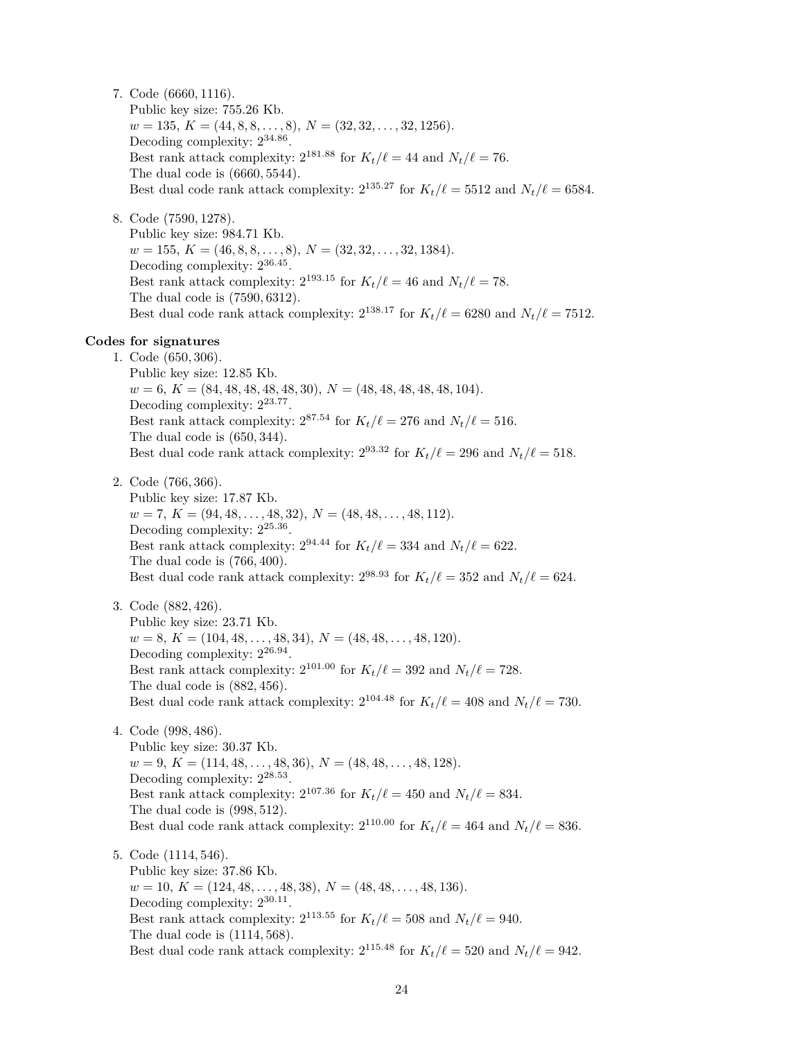7. Code (6660*,* 1116).

Public key size: 755.26 Kb.  $w = 135, K = (44, 8, 8, \ldots, 8), N = (32, 32, \ldots, 32, 1256).$ Decoding complexity: 2<sup>34</sup>*.*<sup>86</sup> . Best rank attack complexity:  $2^{181.88}$  for  $K_t/\ell = 44$  and  $N_t/\ell = 76$ . The dual code is (6660*,* 5544). Best dual code rank attack complexity:  $2^{135.27}$  for  $K_t/\ell = 5512$  and  $N_t/\ell = 6584$ .

8. Code (7590*,* 1278). Public key size: 984.71 Kb. *w* = 155, *K* = (46*,* 8*,* 8*, . . . ,* 8), *N* = (32*,* 32*, . . . ,* 32*,* 1384). Decoding complexity: 2<sup>36</sup>*.*<sup>45</sup> . Best rank attack complexity:  $2^{193.15}$  for  $K_t/\ell = 46$  and  $N_t/\ell = 78$ . The dual code is (7590*,* 6312). Best dual code rank attack complexity:  $2^{138.17}$  for  $K_t/\ell = 6280$  and  $N_t/\ell = 7512$ .

## **Codes for signatures**

1. Code (650*,* 306). Public key size: 12.85 Kb. *w* = 6, *K* = (84*,* 48*,* 48*,* 48*,* 48*,* 30), *N* = (48*,* 48*,* 48*,* 48*,* 48*,* 104). Decoding complexity: 2<sup>23</sup>*.*<sup>77</sup> . Best rank attack complexity:  $2^{87.54}$  for  $K_t/\ell = 276$  and  $N_t/\ell = 516$ . The dual code is (650*,* 344). Best dual code rank attack complexity:  $2^{93.32}$  for  $K_t/\ell = 296$  and  $N_t/\ell = 518$ .

2. Code (766*,* 366).

Public key size: 17.87 Kb.  $w = 7, K = (94, 48, \ldots, 48, 32), N = (48, 48, \ldots, 48, 112).$ Decoding complexity: 2<sup>25</sup>*.*<sup>36</sup> . Best rank attack complexity:  $2^{94.44}$  for  $K_t/\ell = 334$  and  $N_t/\ell = 622$ . The dual code is (766*,* 400). Best dual code rank attack complexity:  $2^{98.93}$  for  $K_t/\ell = 352$  and  $N_t/\ell = 624$ .

3. Code (882*,* 426).

Public key size: 23.71 Kb.  $w = 8, K = (104, 48, \ldots, 48, 34), N = (48, 48, \ldots, 48, 120).$ Decoding complexity: 2<sup>26</sup>*.*<sup>94</sup> . Best rank attack complexity:  $2^{101.00}$  for  $K_t/\ell = 392$  and  $N_t/\ell = 728$ . The dual code is (882*,* 456). Best dual code rank attack complexity:  $2^{104.48}$  for  $K_t/\ell = 408$  and  $N_t/\ell = 730$ .

4. Code (998*,* 486).

Public key size: 30.37 Kb.  $w = 9, K = (114, 48, \ldots, 48, 36), N = (48, 48, \ldots, 48, 128).$ Decoding complexity: 2<sup>28</sup>*.*<sup>53</sup> . Best rank attack complexity:  $2^{107.36}$  for  $K_t/\ell = 450$  and  $N_t/\ell = 834$ . The dual code is (998*,* 512). Best dual code rank attack complexity:  $2^{110.00}$  for  $K_t/\ell = 464$  and  $N_t/\ell = 836$ .

<sup>5.</sup> Code (1114*,* 546). Public key size: 37.86 Kb.  $w = 10, K = (124, 48, \ldots, 48, 38), N = (48, 48, \ldots, 48, 136).$ Decoding complexity: 2<sup>30</sup>*.*<sup>11</sup> . Best rank attack complexity:  $2^{113.55}$  for  $K_t/\ell = 508$  and  $N_t/\ell = 940$ . The dual code is (1114*,* 568). Best dual code rank attack complexity:  $2^{115.48}$  for  $K_t/\ell = 520$  and  $N_t/\ell = 942$ .